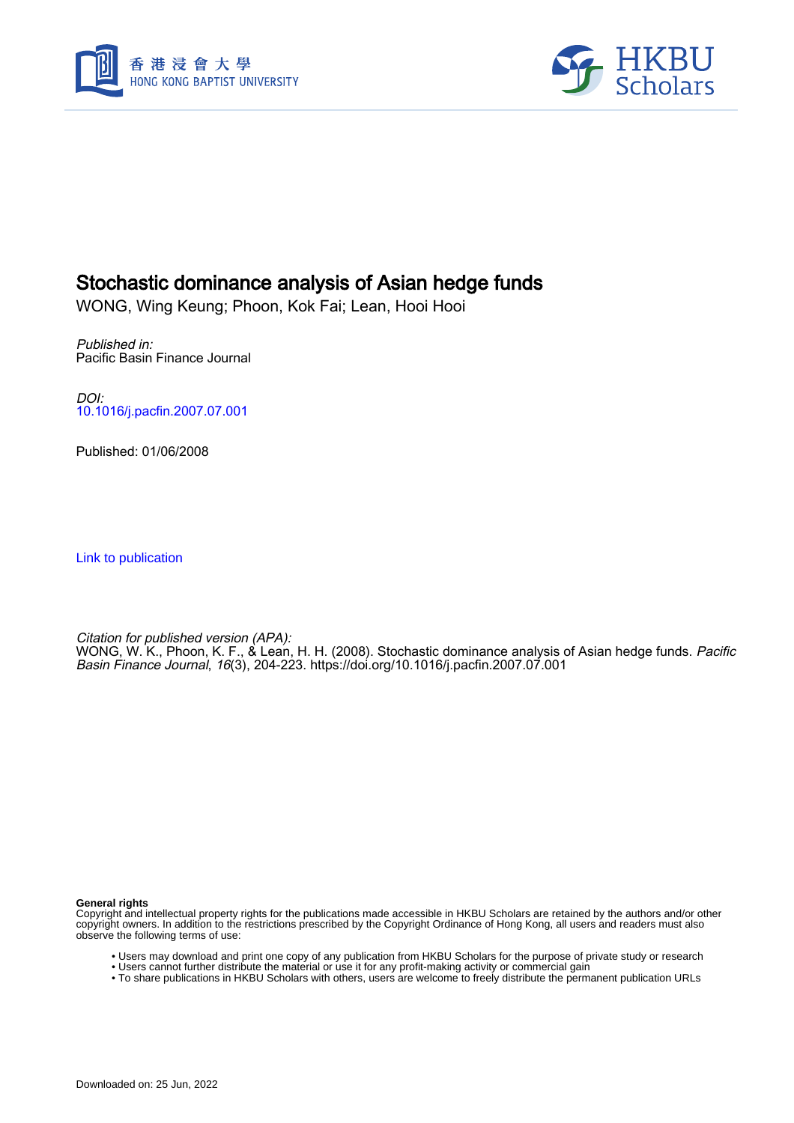



# Stochastic dominance analysis of Asian hedge funds

WONG, Wing Keung; Phoon, Kok Fai; Lean, Hooi Hooi

Published in: Pacific Basin Finance Journal

DOI: [10.1016/j.pacfin.2007.07.001](https://doi.org/10.1016/j.pacfin.2007.07.001)

Published: 01/06/2008

[Link to publication](https://scholars.hkbu.edu.hk/en/publications/1f0e212c-49ea-4f6d-983a-d05b22c90015)

Citation for published version (APA): WONG, W. K., Phoon, K. F., & Lean, H. H. (2008). Stochastic dominance analysis of Asian hedge funds. *Pacific* Basin Finance Journal, 16(3), 204-223. <https://doi.org/10.1016/j.pacfin.2007.07.001>

**General rights**

Copyright and intellectual property rights for the publications made accessible in HKBU Scholars are retained by the authors and/or other copyright owners. In addition to the restrictions prescribed by the Copyright Ordinance of Hong Kong, all users and readers must also observe the following terms of use:

- Users may download and print one copy of any publication from HKBU Scholars for the purpose of private study or research
- Users cannot further distribute the material or use it for any profit-making activity or commercial gain
- To share publications in HKBU Scholars with others, users are welcome to freely distribute the permanent publication URLs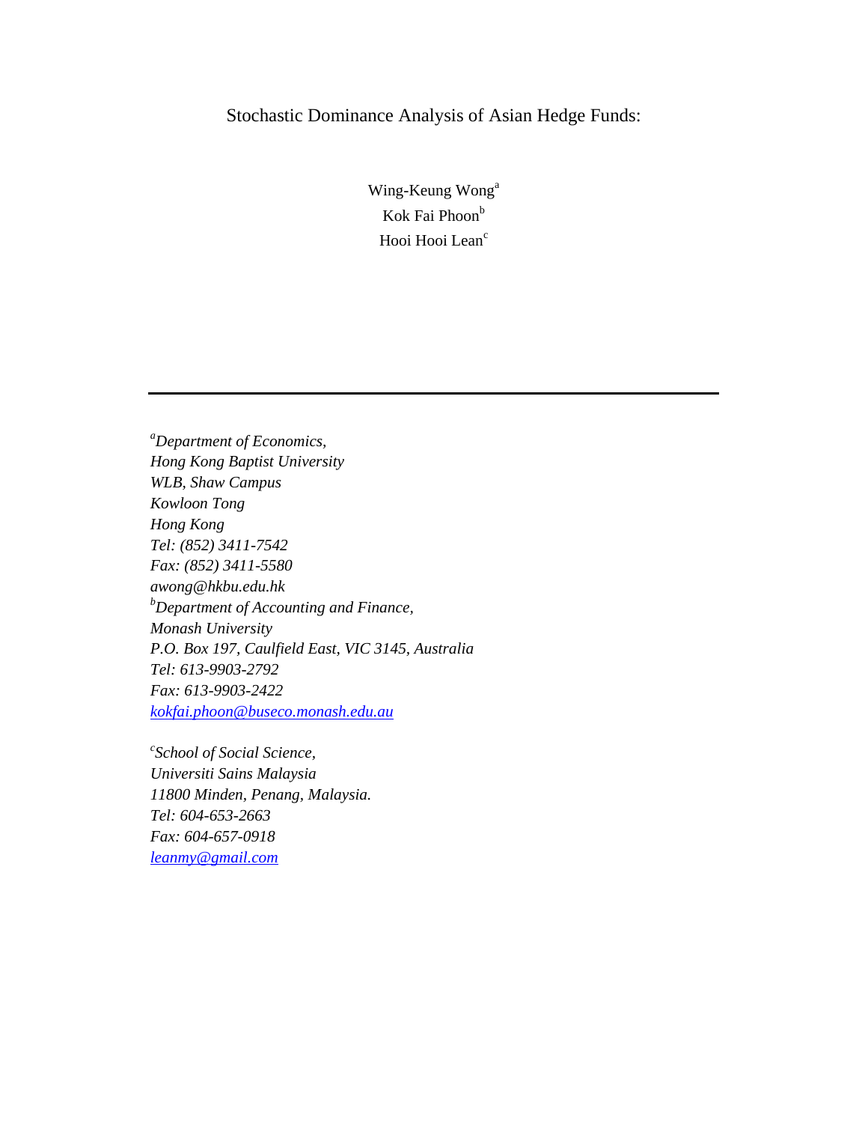# Stochastic Dominance Analysis of Asian Hedge Funds:

Wing-Keung Wong<sup>a</sup> Kok Fai Phoon<sup>b</sup> Hooi Hooi Lean<sup>c</sup>

*a Department of Economics, Hong Kong Baptist University WLB, Shaw Campus Kowloon Tong Hong Kong Tel: (852) 3411-7542 Fax: (852) 3411-5580 awong@hkbu.edu.hk b Department of Accounting and Finance, Monash University P.O. Box 197, Caulfield East, VIC 3145, Australia Tel: 613-9903-2792 Fax: 613-9903-2422 kokfai.phoon@buseco.monash.edu.au*

*c School of Social Science, Universiti Sains Malaysia 11800 Minden, Penang, Malaysia. Tel: 604-653-2663 Fax: 604-657-0918 leanmy@gmail.com*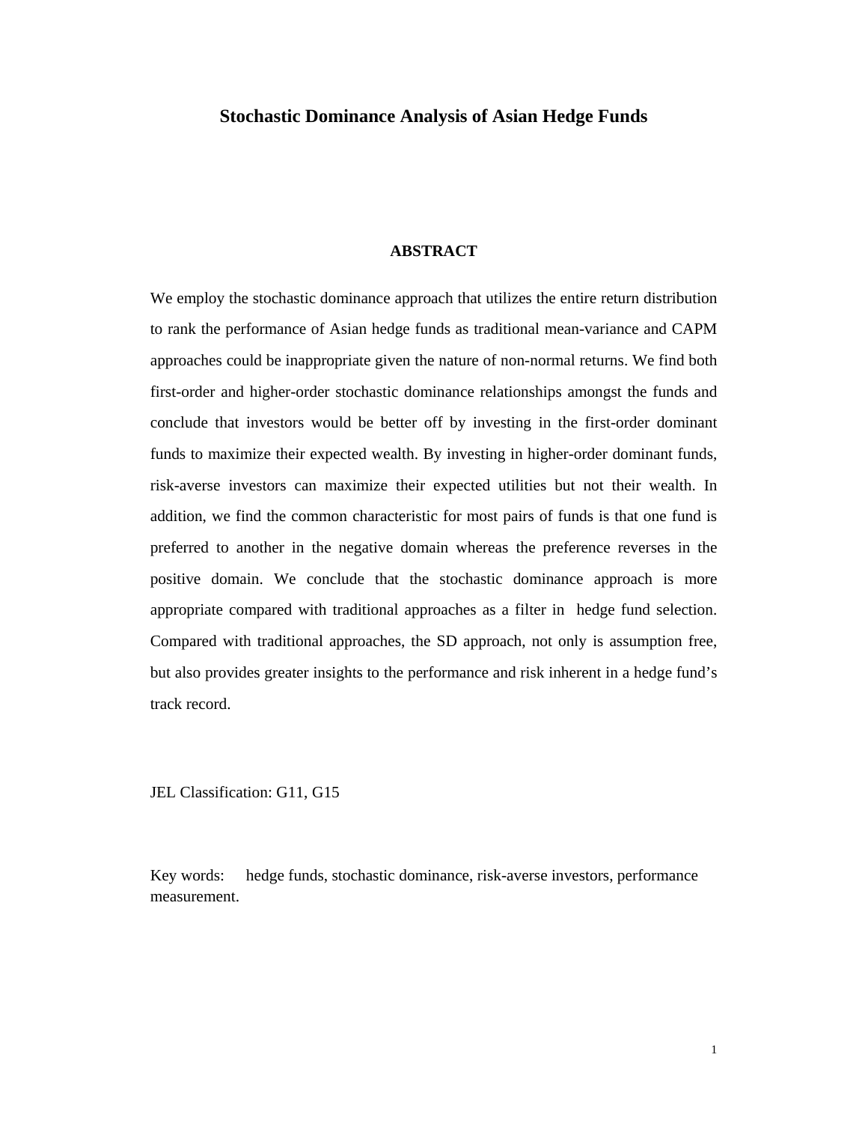# **Stochastic Dominance Analysis of Asian Hedge Funds**

#### **ABSTRACT**

We employ the stochastic dominance approach that utilizes the entire return distribution to rank the performance of Asian hedge funds as traditional mean-variance and CAPM approaches could be inappropriate given the nature of non-normal returns. We find both first-order and higher-order stochastic dominance relationships amongst the funds and conclude that investors would be better off by investing in the first-order dominant funds to maximize their expected wealth. By investing in higher-order dominant funds, risk-averse investors can maximize their expected utilities but not their wealth. In addition, we find the common characteristic for most pairs of funds is that one fund is preferred to another in the negative domain whereas the preference reverses in the positive domain. We conclude that the stochastic dominance approach is more appropriate compared with traditional approaches as a filter in hedge fund selection. Compared with traditional approaches, the SD approach, not only is assumption free, but also provides greater insights to the performance and risk inherent in a hedge fund's track record.

JEL Classification: G11, G15

Key words: hedge funds, stochastic dominance, risk-averse investors, performance measurement.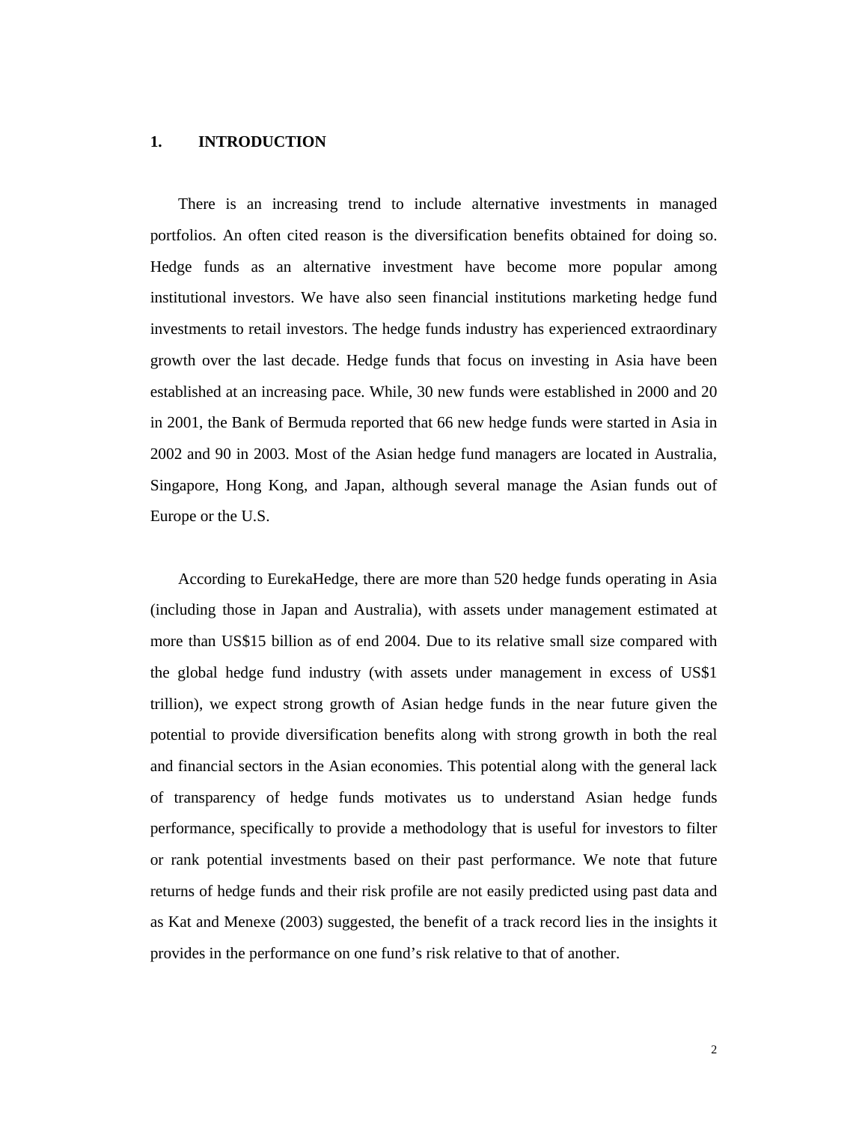#### **1. INTRODUCTION**

There is an increasing trend to include alternative investments in managed portfolios. An often cited reason is the diversification benefits obtained for doing so. Hedge funds as an alternative investment have become more popular among institutional investors. We have also seen financial institutions marketing hedge fund investments to retail investors. The hedge funds industry has experienced extraordinary growth over the last decade. Hedge funds that focus on investing in Asia have been established at an increasing pace. While, 30 new funds were established in 2000 and 20 in 2001, the Bank of Bermuda reported that 66 new hedge funds were started in Asia in 2002 and 90 in 2003. Most of the Asian hedge fund managers are located in Australia, Singapore, Hong Kong, and Japan, although several manage the Asian funds out of Europe or the U.S.

According to EurekaHedge, there are more than 520 hedge funds operating in Asia (including those in Japan and Australia), with assets under management estimated at more than US\$15 billion as of end 2004. Due to its relative small size compared with the global hedge fund industry (with assets under management in excess of US\$1 trillion), we expect strong growth of Asian hedge funds in the near future given the potential to provide diversification benefits along with strong growth in both the real and financial sectors in the Asian economies. This potential along with the general lack of transparency of hedge funds motivates us to understand Asian hedge funds performance, specifically to provide a methodology that is useful for investors to filter or rank potential investments based on their past performance. We note that future returns of hedge funds and their risk profile are not easily predicted using past data and as Kat and Menexe (2003) suggested, the benefit of a track record lies in the insights it provides in the performance on one fund's risk relative to that of another.

2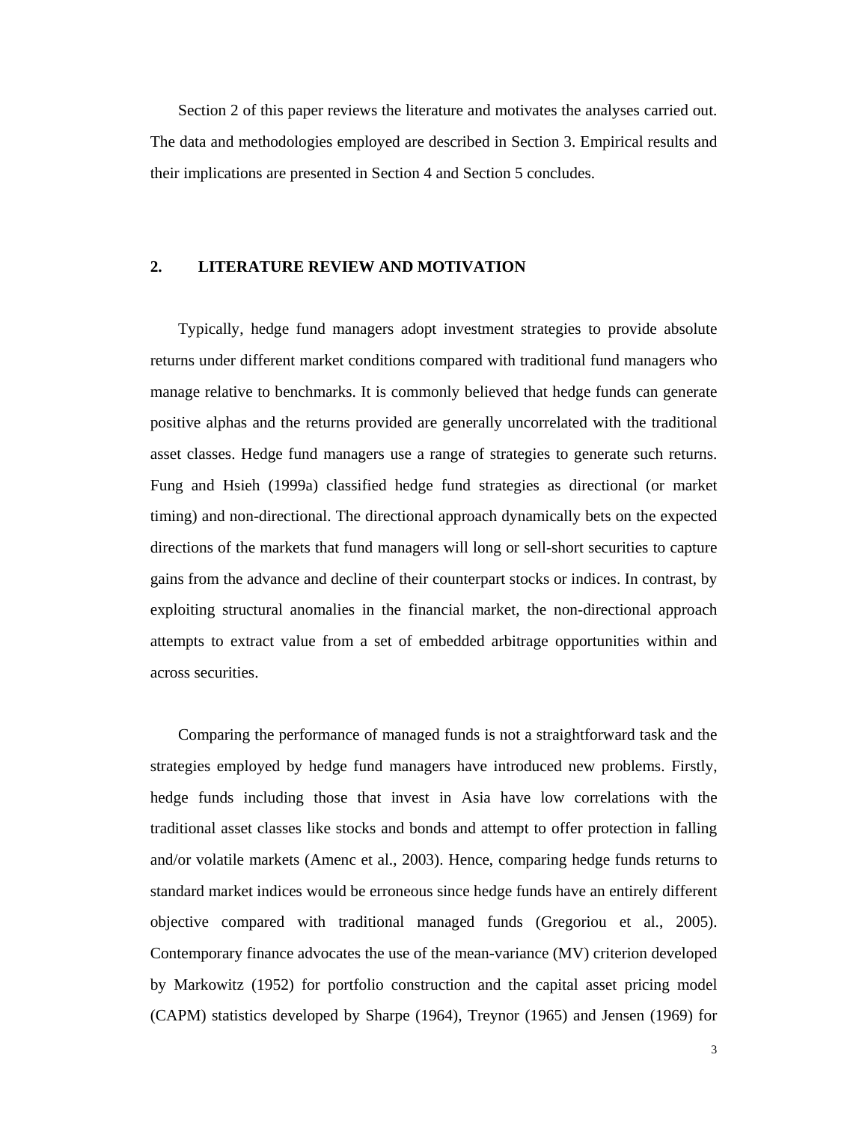Section 2 of this paper reviews the literature and motivates the analyses carried out. The data and methodologies employed are described in Section 3. Empirical results and their implications are presented in Section 4 and Section 5 concludes.

#### **2. LITERATURE REVIEW AND MOTIVATION**

Typically, hedge fund managers adopt investment strategies to provide absolute returns under different market conditions compared with traditional fund managers who manage relative to benchmarks. It is commonly believed that hedge funds can generate positive alphas and the returns provided are generally uncorrelated with the traditional asset classes. Hedge fund managers use a range of strategies to generate such returns. Fung and Hsieh (1999a) classified hedge fund strategies as directional (or market timing) and non-directional. The directional approach dynamically bets on the expected directions of the markets that fund managers will long or sell-short securities to capture gains from the advance and decline of their counterpart stocks or indices. In contrast, by exploiting structural anomalies in the financial market, the non-directional approach attempts to extract value from a set of embedded arbitrage opportunities within and across securities.

Comparing the performance of managed funds is not a straightforward task and the strategies employed by hedge fund managers have introduced new problems. Firstly, hedge funds including those that invest in Asia have low correlations with the traditional asset classes like stocks and bonds and attempt to offer protection in falling and/or volatile markets (Amenc et al., 2003). Hence, comparing hedge funds returns to standard market indices would be erroneous since hedge funds have an entirely different objective compared with traditional managed funds (Gregoriou et al., 2005). Contemporary finance advocates the use of the mean-variance (MV) criterion developed by Markowitz (1952) for portfolio construction and the capital asset pricing model (CAPM) statistics developed by Sharpe (1964), Treynor (1965) and Jensen (1969) for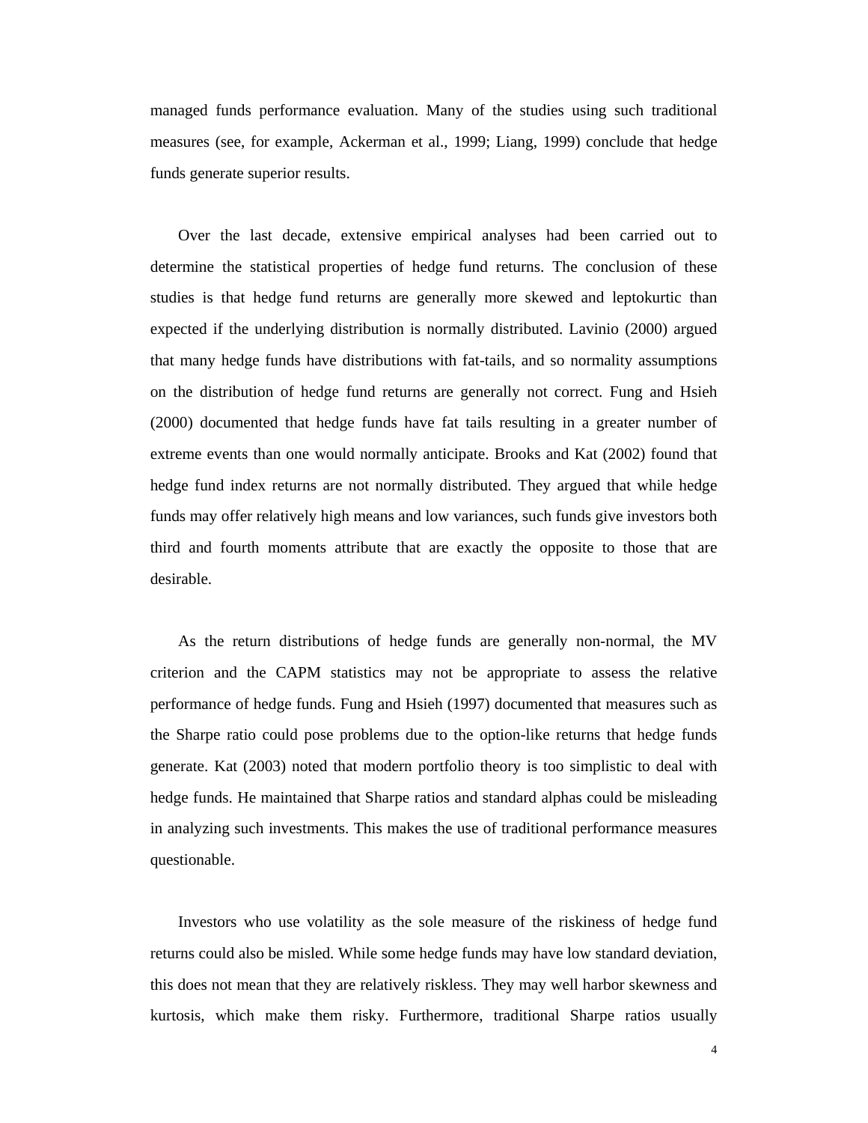managed funds performance evaluation. Many of the studies using such traditional measures (see, for example, Ackerman et al., 1999; Liang, 1999) conclude that hedge funds generate superior results.

Over the last decade, extensive empirical analyses had been carried out to determine the statistical properties of hedge fund returns. The conclusion of these studies is that hedge fund returns are generally more skewed and leptokurtic than expected if the underlying distribution is normally distributed. Lavinio (2000) argued that many hedge funds have distributions with fat-tails, and so normality assumptions on the distribution of hedge fund returns are generally not correct. Fung and Hsieh (2000) documented that hedge funds have fat tails resulting in a greater number of extreme events than one would normally anticipate. Brooks and Kat (2002) found that hedge fund index returns are not normally distributed. They argued that while hedge funds may offer relatively high means and low variances, such funds give investors both third and fourth moments attribute that are exactly the opposite to those that are desirable.

As the return distributions of hedge funds are generally non-normal, the MV criterion and the CAPM statistics may not be appropriate to assess the relative performance of hedge funds. Fung and Hsieh (1997) documented that measures such as the Sharpe ratio could pose problems due to the option-like returns that hedge funds generate. Kat (2003) noted that modern portfolio theory is too simplistic to deal with hedge funds. He maintained that Sharpe ratios and standard alphas could be misleading in analyzing such investments. This makes the use of traditional performance measures questionable.

Investors who use volatility as the sole measure of the riskiness of hedge fund returns could also be misled. While some hedge funds may have low standard deviation, this does not mean that they are relatively riskless. They may well harbor skewness and kurtosis, which make them risky. Furthermore, traditional Sharpe ratios usually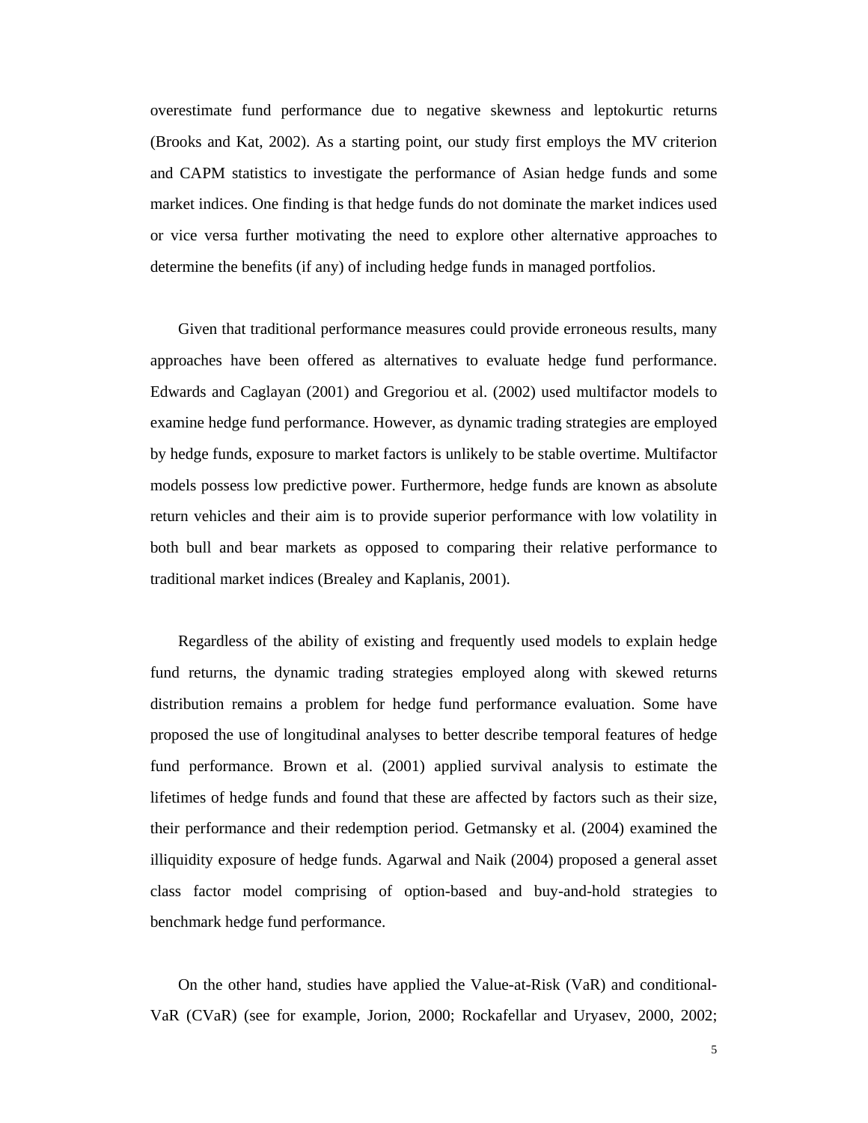overestimate fund performance due to negative skewness and leptokurtic returns (Brooks and Kat, 2002). As a starting point, our study first employs the MV criterion and CAPM statistics to investigate the performance of Asian hedge funds and some market indices. One finding is that hedge funds do not dominate the market indices used or vice versa further motivating the need to explore other alternative approaches to determine the benefits (if any) of including hedge funds in managed portfolios.

Given that traditional performance measures could provide erroneous results, many approaches have been offered as alternatives to evaluate hedge fund performance. Edwards and Caglayan (2001) and Gregoriou et al. (2002) used multifactor models to examine hedge fund performance. However, as dynamic trading strategies are employed by hedge funds, exposure to market factors is unlikely to be stable overtime. Multifactor models possess low predictive power. Furthermore, hedge funds are known as absolute return vehicles and their aim is to provide superior performance with low volatility in both bull and bear markets as opposed to comparing their relative performance to traditional market indices (Brealey and Kaplanis, 2001).

Regardless of the ability of existing and frequently used models to explain hedge fund returns, the dynamic trading strategies employed along with skewed returns distribution remains a problem for hedge fund performance evaluation. Some have proposed the use of longitudinal analyses to better describe temporal features of hedge fund performance. Brown et al. (2001) applied survival analysis to estimate the lifetimes of hedge funds and found that these are affected by factors such as their size, their performance and their redemption period. Getmansky et al. (2004) examined the illiquidity exposure of hedge funds. Agarwal and Naik (2004) proposed a general asset class factor model comprising of option-based and buy-and-hold strategies to benchmark hedge fund performance.

On the other hand, studies have applied the Value-at-Risk (VaR) and conditional-VaR (CVaR) (see for example, Jorion, 2000; Rockafellar and Uryasev, 2000, 2002;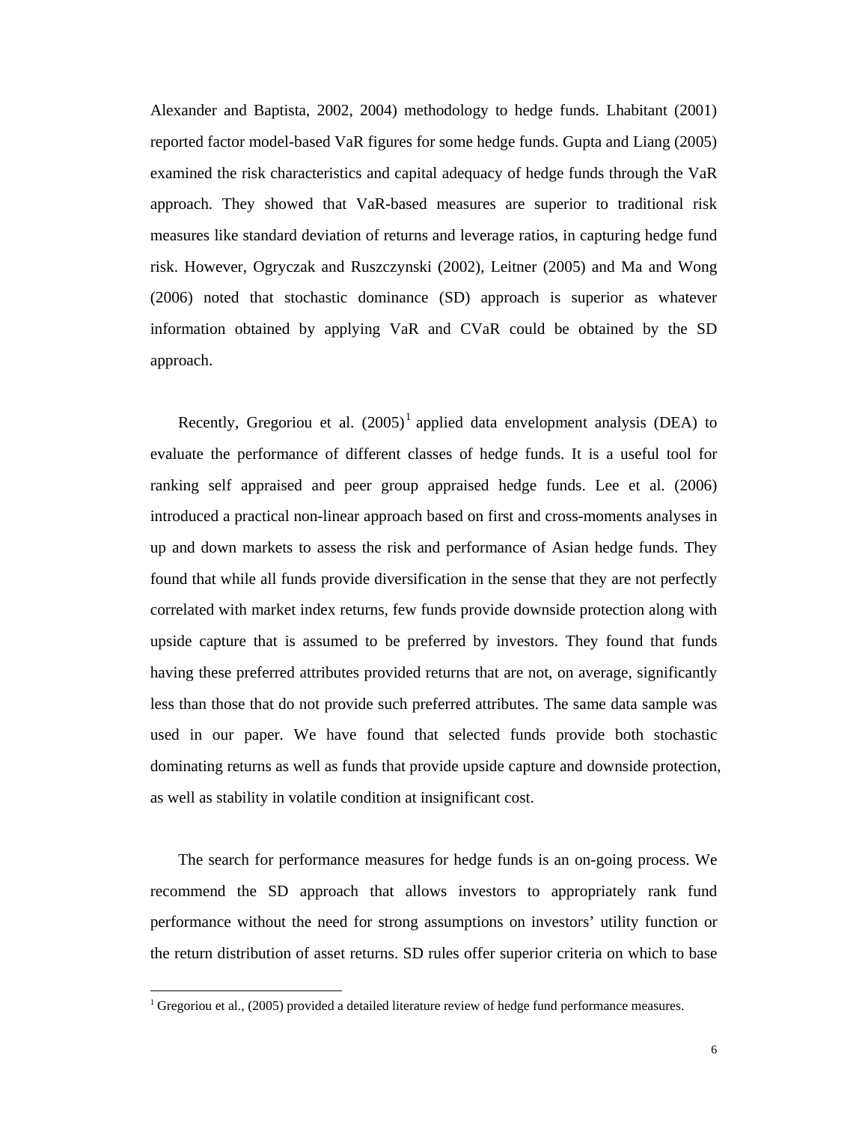Alexander and Baptista, 2002, 2004) methodology to hedge funds. Lhabitant (2001) reported factor model-based VaR figures for some hedge funds. Gupta and Liang (2005) examined the risk characteristics and capital adequacy of hedge funds through the VaR approach. They showed that VaR-based measures are superior to traditional risk measures like standard deviation of returns and leverage ratios, in capturing hedge fund risk. However, Ogryczak and Ruszczynski (2002), Leitner (2005) and Ma and Wong (2006) noted that stochastic dominance (SD) approach is superior as whatever information obtained by applying VaR and CVaR could be obtained by the SD approach.

Recently, Gregoriou et al.  $(2005)^1$  applied data envelopment analysis (DEA) to evaluate the performance of different classes of hedge funds. It is a useful tool for ranking self appraised and peer group appraised hedge funds. Lee et al. (2006) introduced a practical non-linear approach based on first and cross-moments analyses in up and down markets to assess the risk and performance of Asian hedge funds. They found that while all funds provide diversification in the sense that they are not perfectly correlated with market index returns, few funds provide downside protection along with upside capture that is assumed to be preferred by investors. They found that funds having these preferred attributes provided returns that are not, on average, significantly less than those that do not provide such preferred attributes. The same data sample was used in our paper. We have found that selected funds provide both stochastic dominating returns as well as funds that provide upside capture and downside protection, as well as stability in volatile condition at insignificant cost.

The search for performance measures for hedge funds is an on-going process. We recommend the SD approach that allows investors to appropriately rank fund performance without the need for strong assumptions on investors' utility function or the return distribution of asset returns. SD rules offer superior criteria on which to base

 $\overline{a}$ 

<sup>1</sup> Gregoriou et al., (2005) provided a detailed literature review of hedge fund performance measures.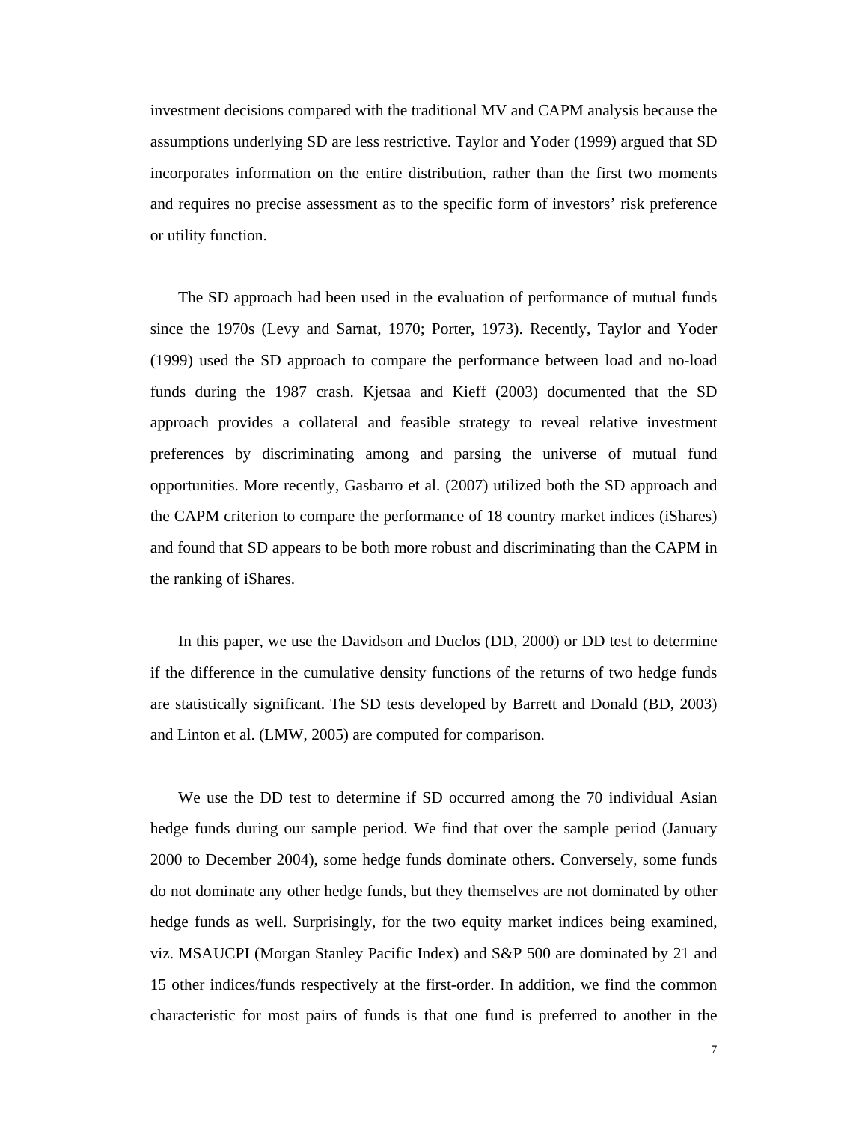investment decisions compared with the traditional MV and CAPM analysis because the assumptions underlying SD are less restrictive. Taylor and Yoder (1999) argued that SD incorporates information on the entire distribution, rather than the first two moments and requires no precise assessment as to the specific form of investors' risk preference or utility function.

The SD approach had been used in the evaluation of performance of mutual funds since the 1970s (Levy and Sarnat, 1970; Porter, 1973). Recently, Taylor and Yoder (1999) used the SD approach to compare the performance between load and no-load funds during the 1987 crash. Kjetsaa and Kieff (2003) documented that the SD approach provides a collateral and feasible strategy to reveal relative investment preferences by discriminating among and parsing the universe of mutual fund opportunities. More recently, Gasbarro et al. (2007) utilized both the SD approach and the CAPM criterion to compare the performance of 18 country market indices (iShares) and found that SD appears to be both more robust and discriminating than the CAPM in the ranking of iShares.

In this paper, we use the Davidson and Duclos (DD, 2000) or DD test to determine if the difference in the cumulative density functions of the returns of two hedge funds are statistically significant. The SD tests developed by Barrett and Donald (BD, 2003) and Linton et al. (LMW, 2005) are computed for comparison.

We use the DD test to determine if SD occurred among the 70 individual Asian hedge funds during our sample period. We find that over the sample period (January 2000 to December 2004), some hedge funds dominate others. Conversely, some funds do not dominate any other hedge funds, but they themselves are not dominated by other hedge funds as well. Surprisingly, for the two equity market indices being examined, viz. MSAUCPI (Morgan Stanley Pacific Index) and S&P 500 are dominated by 21 and 15 other indices/funds respectively at the first-order. In addition, we find the common characteristic for most pairs of funds is that one fund is preferred to another in the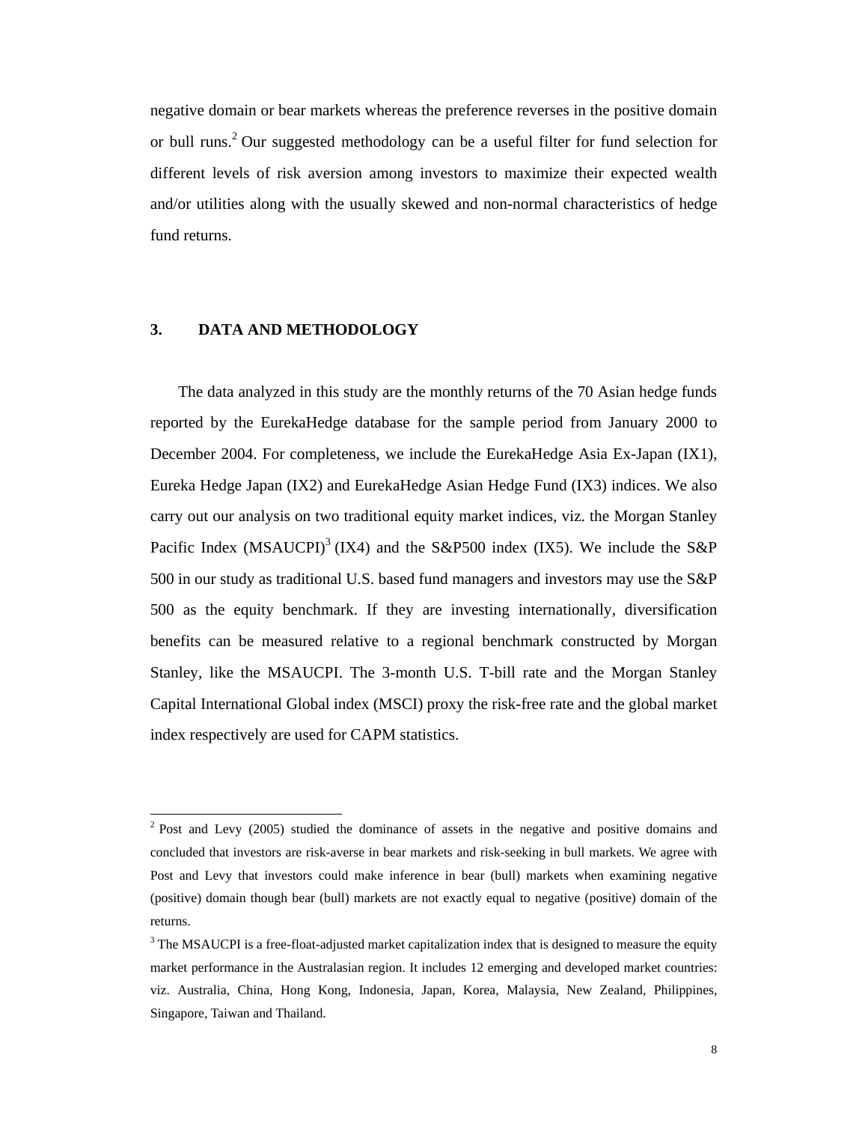negative domain or bear markets whereas the preference reverses in the positive domain or bull runs.<sup>2</sup> Our suggested methodology can be a useful filter for fund selection for different levels of risk aversion among investors to maximize their expected wealth and/or utilities along with the usually skewed and non-normal characteristics of hedge fund returns.

# **3. DATA AND METHODOLOGY**

 $\overline{a}$ 

The data analyzed in this study are the monthly returns of the 70 Asian hedge funds reported by the EurekaHedge database for the sample period from January 2000 to December 2004. For completeness, we include the EurekaHedge Asia Ex-Japan (IX1), Eureka Hedge Japan (IX2) and EurekaHedge Asian Hedge Fund (IX3) indices. We also carry out our analysis on two traditional equity market indices, viz. the Morgan Stanley Pacific Index (MSAUCPI)<sup>3</sup> (IX4) and the S&P500 index (IX5). We include the S&P 500 in our study as traditional U.S. based fund managers and investors may use the S&P 500 as the equity benchmark. If they are investing internationally, diversification benefits can be measured relative to a regional benchmark constructed by Morgan Stanley, like the MSAUCPI. The 3-month U.S. T-bill rate and the Morgan Stanley Capital International Global index (MSCI) proxy the risk-free rate and the global market index respectively are used for CAPM statistics.

 $2$  Post and Levy (2005) studied the dominance of assets in the negative and positive domains and concluded that investors are risk-averse in bear markets and risk-seeking in bull markets. We agree with Post and Levy that investors could make inference in bear (bull) markets when examining negative (positive) domain though bear (bull) markets are not exactly equal to negative (positive) domain of the returns.

 $3$  The MSAUCPI is a free-float-adjusted market capitalization index that is designed to measure the equity market performance in the Australasian region. It includes 12 emerging and developed market countries: viz. Australia, China, Hong Kong, Indonesia, Japan, Korea, Malaysia, New Zealand, Philippines, Singapore, Taiwan and Thailand.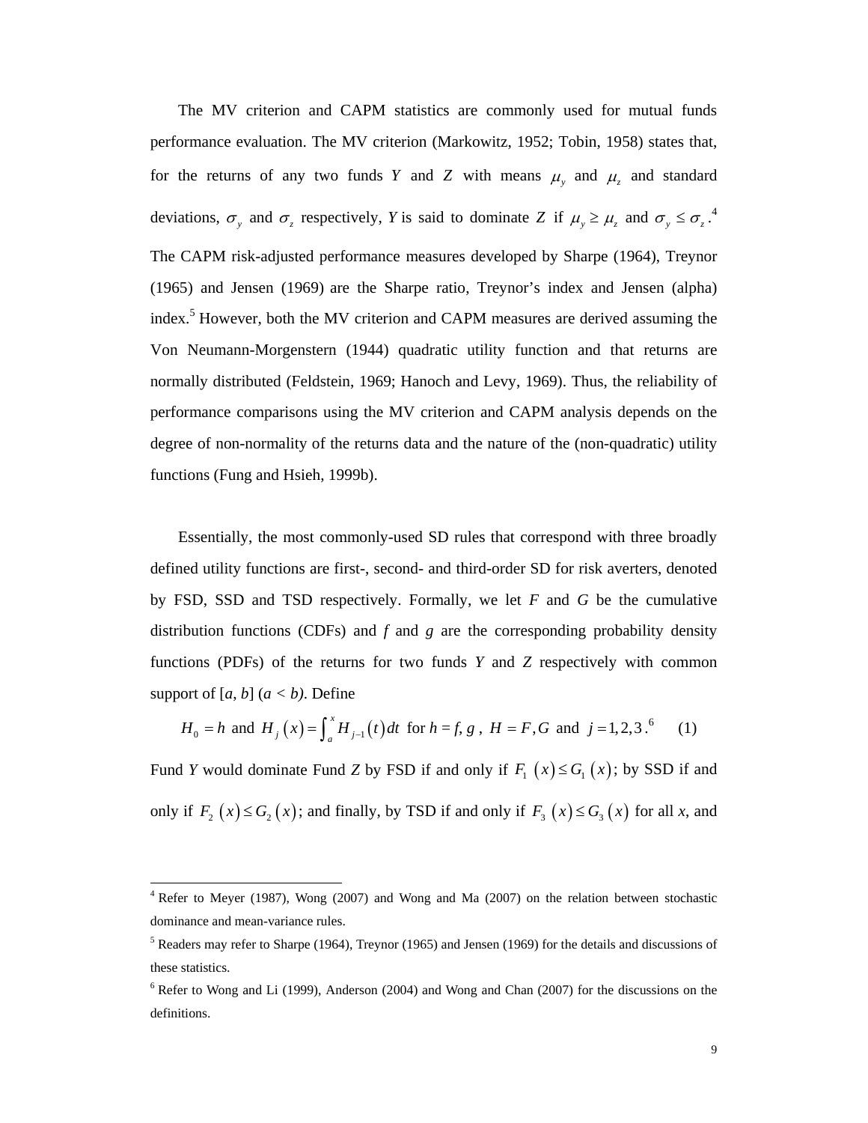The MV criterion and CAPM statistics are commonly used for mutual funds performance evaluation. The MV criterion (Markowitz, 1952; Tobin, 1958) states that, for the returns of any two funds *Y* and *Z* with means  $\mu$ <sub>v</sub> and  $\mu$ <sub>z</sub> and standard deviations,  $\sigma_y$  and  $\sigma_z$  respectively, *Y* is said to dominate *Z* if  $\mu_y \ge \mu_z$  and  $\sigma_y \le \sigma_z$ .<sup>4</sup> The CAPM risk-adjusted performance measures developed by Sharpe (1964), Treynor (1965) and Jensen (1969) are the Sharpe ratio, Treynor's index and Jensen (alpha) index.<sup>5</sup> However, both the MV criterion and CAPM measures are derived assuming the Von Neumann-Morgenstern (1944) quadratic utility function and that returns are normally distributed (Feldstein, 1969; Hanoch and Levy, 1969). Thus, the reliability of performance comparisons using the MV criterion and CAPM analysis depends on the degree of non-normality of the returns data and the nature of the (non-quadratic) utility functions (Fung and Hsieh, 1999b).

Essentially, the most commonly-used SD rules that correspond with three broadly defined utility functions are first-, second- and third-order SD for risk averters, denoted by FSD, SSD and TSD respectively. Formally, we let *F* and *G* be the cumulative distribution functions (CDFs) and *f* and *g* are the corresponding probability density functions (PDFs) of the returns for two funds *Y* and *Z* respectively with common support of  $[a, b]$   $(a < b)$ . Define

$$
H_0 = h \text{ and } H_j(x) = \int_a^x H_{j-1}(t)dt \text{ for } h = f, g, H = F, G \text{ and } j = 1, 2, 3.^6 \quad (1)
$$

Fund *Y* would dominate Fund *Z* by FSD if and only if  $F_1(x) \le G_1(x)$ ; by SSD if and only if  $F_2(x) \le G_2(x)$ ; and finally, by TSD if and only if  $F_3(x) \le G_3(x)$  for all *x*, and

 $\overline{a}$ 

 $4$  Refer to Meyer (1987), Wong (2007) and Wong and Ma (2007) on the relation between stochastic dominance and mean-variance rules.

<sup>&</sup>lt;sup>5</sup> Readers may refer to Sharpe (1964), Treynor (1965) and Jensen (1969) for the details and discussions of these statistics.

 $6$  Refer to Wong and Li (1999), Anderson (2004) and Wong and Chan (2007) for the discussions on the definitions.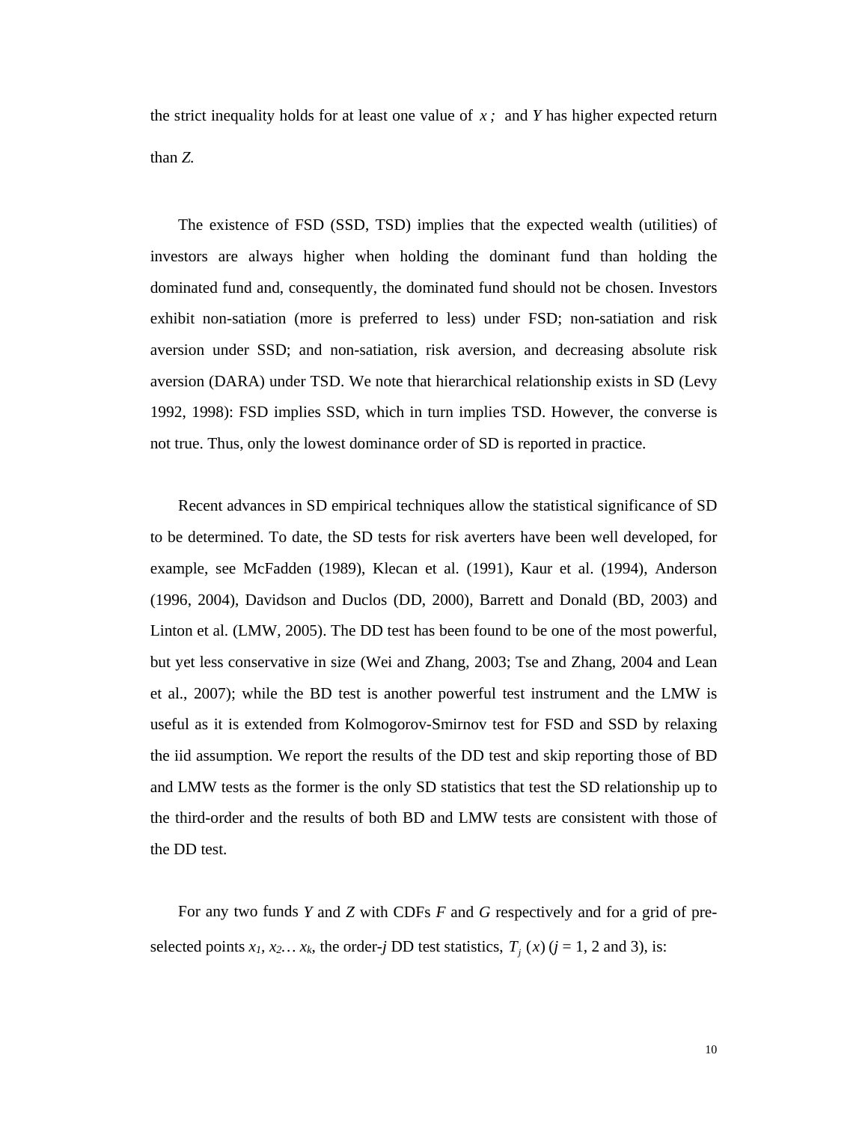the strict inequality holds for at least one value of *x ;* and *Y* has higher expected return than *Z.* 

The existence of FSD (SSD, TSD) implies that the expected wealth (utilities) of investors are always higher when holding the dominant fund than holding the dominated fund and, consequently, the dominated fund should not be chosen. Investors exhibit non-satiation (more is preferred to less) under FSD; non-satiation and risk aversion under SSD; and non-satiation, risk aversion, and decreasing absolute risk aversion (DARA) under TSD. We note that hierarchical relationship exists in SD (Levy 1992, 1998): FSD implies SSD, which in turn implies TSD. However, the converse is not true. Thus, only the lowest dominance order of SD is reported in practice.

Recent advances in SD empirical techniques allow the statistical significance of SD to be determined. To date, the SD tests for risk averters have been well developed, for example, see McFadden (1989), Klecan et al. (1991), Kaur et al. (1994), Anderson (1996, 2004), Davidson and Duclos (DD, 2000), Barrett and Donald (BD, 2003) and Linton et al. (LMW, 2005). The DD test has been found to be one of the most powerful, but yet less conservative in size (Wei and Zhang, 2003; Tse and Zhang, 2004 and Lean et al., 2007); while the BD test is another powerful test instrument and the LMW is useful as it is extended from Kolmogorov-Smirnov test for FSD and SSD by relaxing the iid assumption. We report the results of the DD test and skip reporting those of BD and LMW tests as the former is the only SD statistics that test the SD relationship up to the third-order and the results of both BD and LMW tests are consistent with those of the DD test.

For any two funds *Y* and *Z* with CDFs *F* and *G* respectively and for a grid of preselected points  $x_1, x_2, \ldots, x_k$ , the order-*j* DD test statistics,  $T_i(x)$  ( $j = 1, 2$  and 3), is: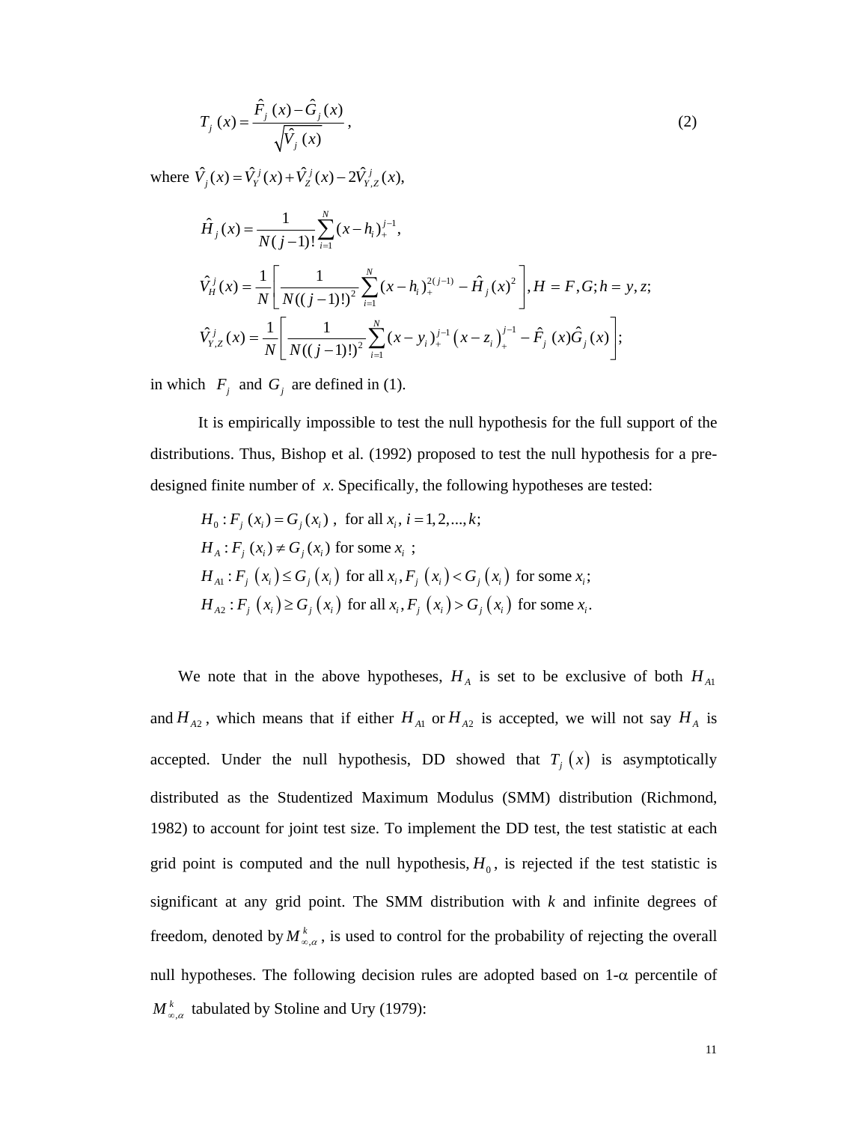$$
T_{j}(x) = \frac{\hat{F}_{j}(x) - \hat{G}_{j}(x)}{\sqrt{\hat{V}_{j}(x)}},
$$
\n(2)

where  $\hat{V}_i(x) = \hat{V}_y^j(x) + \hat{V}_z^j(x) - 2\hat{V}_{y}^j(x)$ ,

$$
\hat{H}_j(x) = \frac{1}{N(j-1)!} \sum_{i=1}^N (x - h_i)_+^{j-1},
$$
\n
$$
\hat{V}_H^j(x) = \frac{1}{N} \left[ \frac{1}{N((j-1)!)^2} \sum_{i=1}^N (x - h_i)_+^{2(j-1)} - \hat{H}_j(x)^2 \right], H = F, G; h = y, z;
$$
\n
$$
\hat{V}_{Y,Z}^j(x) = \frac{1}{N} \left[ \frac{1}{N((j-1)!)^2} \sum_{i=1}^N (x - y_i)_+^{j-1} (x - z_i)_+^{j-1} - \hat{F}_j(x) \hat{G}_j(x) \right];
$$

in which  $F_j$  and  $G_j$  are defined in (1).

It is empirically impossible to test the null hypothesis for the full support of the distributions. Thus, Bishop et al. (1992) proposed to test the null hypothesis for a predesigned finite number of *x*. Specifically, the following hypotheses are tested:

$$
H_0: F_j(x_i) = G_j(x_i), \text{ for all } x_i, i = 1, 2, ..., k;
$$
  
\n
$$
H_A: F_j(x_i) \neq G_j(x_i) \text{ for some } x_i ;
$$
  
\n
$$
H_{A1}: F_j(x_i) \leq G_j(x_i) \text{ for all } x_i, F_j(x_i) < G_j(x_i) \text{ for some } x_i ;
$$
  
\n
$$
H_{A2}: F_j(x_i) \geq G_j(x_i) \text{ for all } x_i, F_j(x_i) > G_j(x_i) \text{ for some } x_i.
$$

We note that in the above hypotheses,  $H_A$  is set to be exclusive of both  $H_{A1}$ and  $H_{A2}$ , which means that if either  $H_{A1}$  or  $H_{A2}$  is accepted, we will not say  $H_A$  is accepted. Under the null hypothesis, DD showed that  $T_i(x)$  is asymptotically distributed as the Studentized Maximum Modulus (SMM) distribution (Richmond, 1982) to account for joint test size. To implement the DD test, the test statistic at each grid point is computed and the null hypothesis,  $H_0$ , is rejected if the test statistic is significant at any grid point. The SMM distribution with *k* and infinite degrees of freedom, denoted by  $M_{\infty,a}^k$ , is used to control for the probability of rejecting the overall null hypotheses. The following decision rules are adopted based on  $1-\alpha$  percentile of  $M_{\infty, \alpha}^{k}$  tabulated by Stoline and Ury (1979):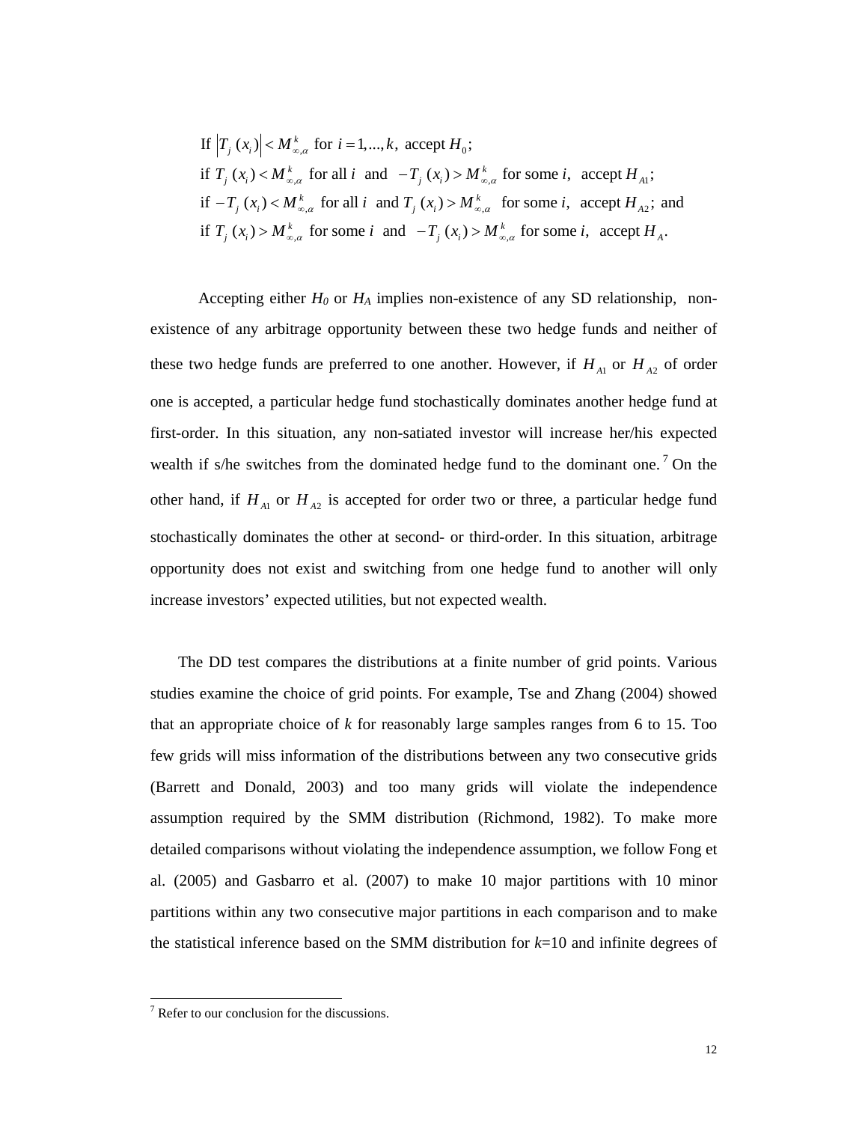If 
$$
|T_j(x_i)| < M_{\infty,\alpha}^k
$$
 for  $i = 1,...,k$ , accept  $H_0$ ;  
if  $T_j(x_i) < M_{\infty,\alpha}^k$  for all  $i$  and  $-T_j(x_i) > M_{\infty,\alpha}^k$  for some  $i$ , accept  $H_{A1}$ ;  
if  $-T_j(x_i) < M_{\infty,\alpha}^k$  for all  $i$  and  $T_j(x_i) > M_{\infty,\alpha}^k$  for some  $i$ , accept  $H_{A2}$ ; and  
if  $T_j(x_i) > M_{\infty,\alpha}^k$  for some  $i$  and  $-T_j(x_i) > M_{\infty,\alpha}^k$  for some  $i$ , accept  $H_A$ .

Accepting either  $H_0$  or  $H_A$  implies non-existence of any SD relationship, nonexistence of any arbitrage opportunity between these two hedge funds and neither of these two hedge funds are preferred to one another. However, if  $H_{A1}$  or  $H_{A2}$  of order one is accepted, a particular hedge fund stochastically dominates another hedge fund at first-order. In this situation, any non-satiated investor will increase her/his expected wealth if s/he switches from the dominated hedge fund to the dominant one.<sup>7</sup> On the other hand, if  $H_{A1}$  or  $H_{A2}$  is accepted for order two or three, a particular hedge fund stochastically dominates the other at second- or third-order. In this situation, arbitrage opportunity does not exist and switching from one hedge fund to another will only increase investors' expected utilities, but not expected wealth.

The DD test compares the distributions at a finite number of grid points. Various studies examine the choice of grid points. For example, Tse and Zhang (2004) showed that an appropriate choice of *k* for reasonably large samples ranges from 6 to 15. Too few grids will miss information of the distributions between any two consecutive grids (Barrett and Donald, 2003) and too many grids will violate the independence assumption required by the SMM distribution (Richmond, 1982). To make more detailed comparisons without violating the independence assumption, we follow Fong et al. (2005) and Gasbarro et al. (2007) to make 10 major partitions with 10 minor partitions within any two consecutive major partitions in each comparison and to make the statistical inference based on the SMM distribution for *k*=10 and infinite degrees of

 $\overline{a}$ 

<sup>&</sup>lt;sup>7</sup> Refer to our conclusion for the discussions.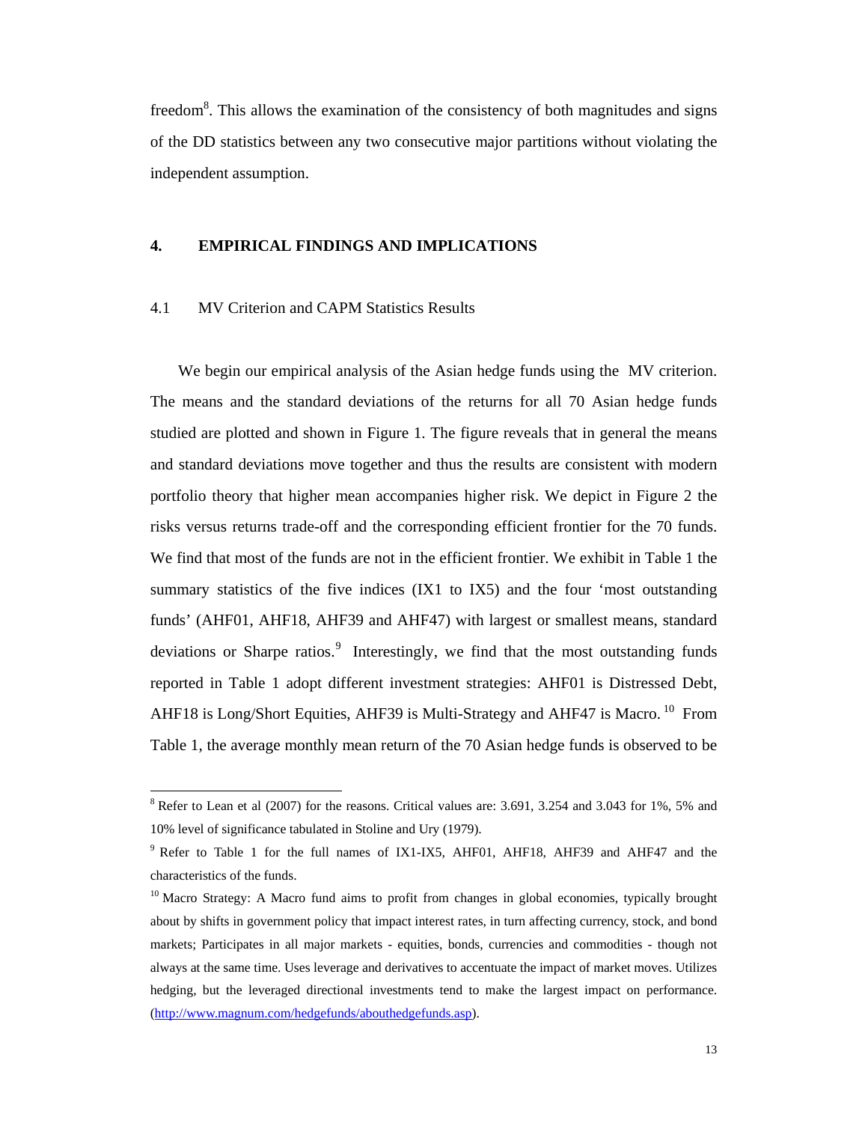freedom $8$ . This allows the examination of the consistency of both magnitudes and signs of the DD statistics between any two consecutive major partitions without violating the independent assumption.

# **4. EMPIRICAL FINDINGS AND IMPLICATIONS**

# 4.1 MV Criterion and CAPM Statistics Results

 $\overline{a}$ 

We begin our empirical analysis of the Asian hedge funds using the MV criterion. The means and the standard deviations of the returns for all 70 Asian hedge funds studied are plotted and shown in Figure 1. The figure reveals that in general the means and standard deviations move together and thus the results are consistent with modern portfolio theory that higher mean accompanies higher risk. We depict in Figure 2 the risks versus returns trade-off and the corresponding efficient frontier for the 70 funds. We find that most of the funds are not in the efficient frontier. We exhibit in Table 1 the summary statistics of the five indices (IX1 to IX5) and the four 'most outstanding funds' (AHF01, AHF18, AHF39 and AHF47) with largest or smallest means, standard deviations or Sharpe ratios.<sup>9</sup> Interestingly, we find that the most outstanding funds reported in Table 1 adopt different investment strategies: AHF01 is Distressed Debt, AHF18 is Long/Short Equities, AHF39 is Multi-Strategy and AHF47 is Macro. <sup>10</sup> From Table 1, the average monthly mean return of the 70 Asian hedge funds is observed to be

 $8$  Refer to Lean et al (2007) for the reasons. Critical values are: 3.691, 3.254 and 3.043 for 1%, 5% and 10% level of significance tabulated in Stoline and Ury (1979).

<sup>9</sup> Refer to Table 1 for the full names of IX1-IX5, AHF01, AHF18, AHF39 and AHF47 and the characteristics of the funds.

 $10$  Macro Strategy: A Macro fund aims to profit from changes in global economies, typically brought about by shifts in government policy that impact interest rates, in turn affecting currency, stock, and bond markets; Participates in all major markets - equities, bonds, currencies and commodities - though not always at the same time. Uses leverage and derivatives to accentuate the impact of market moves. Utilizes hedging, but the leveraged directional investments tend to make the largest impact on performance. (http://www.magnum.com/hedgefunds/abouthedgefunds.asp).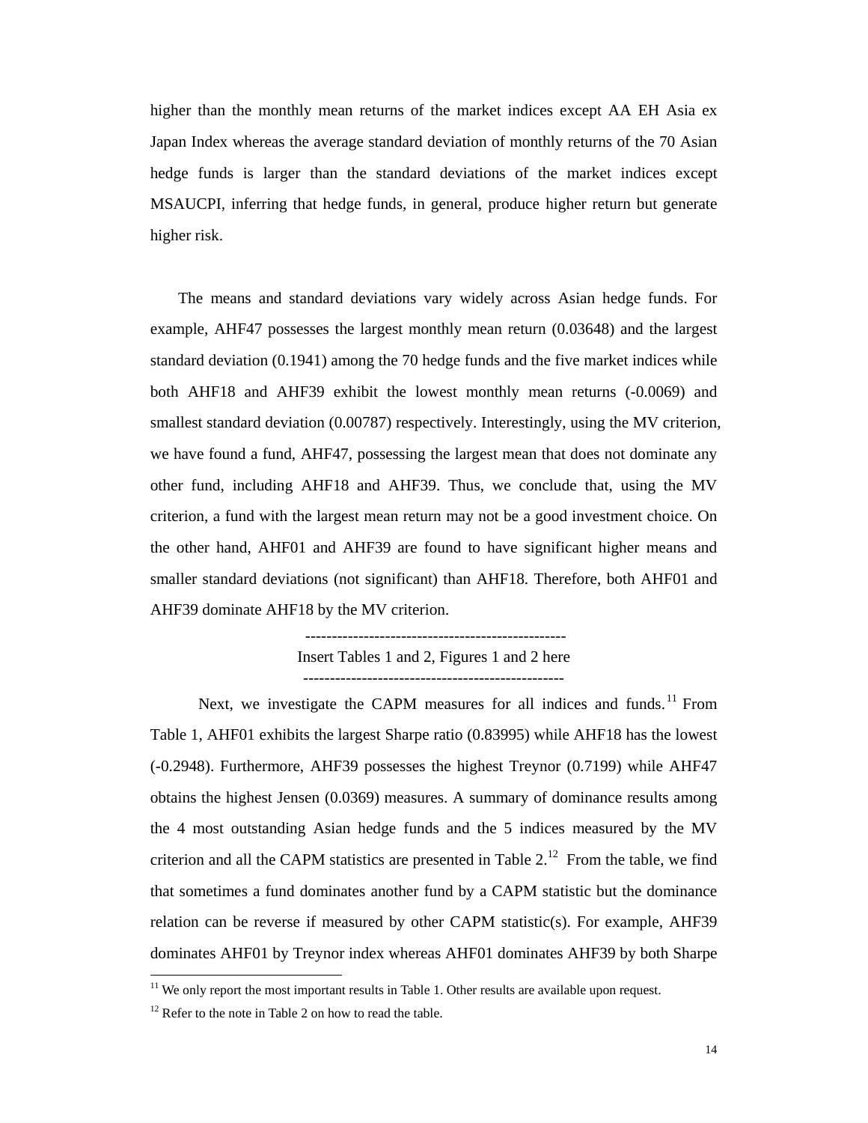higher than the monthly mean returns of the market indices except AA EH Asia ex Japan Index whereas the average standard deviation of monthly returns of the 70 Asian hedge funds is larger than the standard deviations of the market indices except MSAUCPI, inferring that hedge funds, in general, produce higher return but generate higher risk.

The means and standard deviations vary widely across Asian hedge funds. For example, AHF47 possesses the largest monthly mean return (0.03648) and the largest standard deviation (0.1941) among the 70 hedge funds and the five market indices while both AHF18 and AHF39 exhibit the lowest monthly mean returns (-0.0069) and smallest standard deviation (0.00787) respectively. Interestingly, using the MV criterion, we have found a fund, AHF47, possessing the largest mean that does not dominate any other fund, including AHF18 and AHF39. Thus, we conclude that, using the MV criterion, a fund with the largest mean return may not be a good investment choice. On the other hand, AHF01 and AHF39 are found to have significant higher means and smaller standard deviations (not significant) than AHF18. Therefore, both AHF01 and AHF39 dominate AHF18 by the MV criterion.

> Insert Tables 1 and 2, Figures 1 and 2 here -------------------------------------------------

Next, we investigate the CAPM measures for all indices and funds.<sup>11</sup> From Table 1, AHF01 exhibits the largest Sharpe ratio (0.83995) while AHF18 has the lowest (-0.2948). Furthermore, AHF39 possesses the highest Treynor (0.7199) while AHF47 obtains the highest Jensen (0.0369) measures. A summary of dominance results among the 4 most outstanding Asian hedge funds and the 5 indices measured by the MV criterion and all the CAPM statistics are presented in Table  $2<sup>12</sup>$  From the table, we find that sometimes a fund dominates another fund by a CAPM statistic but the dominance relation can be reverse if measured by other CAPM statistic(s). For example, AHF39 dominates AHF01 by Treynor index whereas AHF01 dominates AHF39 by both Sharpe

 $\overline{a}$ 

 $11$  We only report the most important results in Table 1. Other results are available upon request.

<sup>&</sup>lt;sup>12</sup> Refer to the note in Table 2 on how to read the table.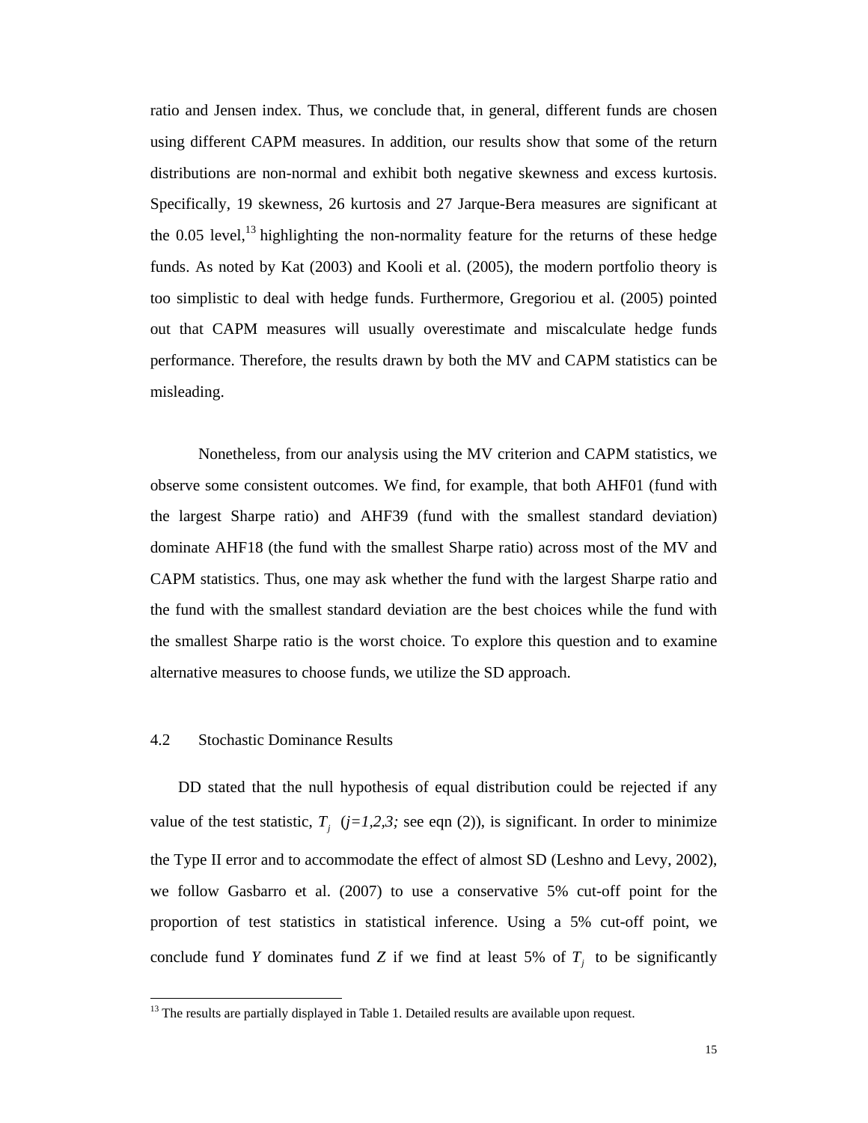ratio and Jensen index. Thus, we conclude that, in general, different funds are chosen using different CAPM measures. In addition, our results show that some of the return distributions are non-normal and exhibit both negative skewness and excess kurtosis. Specifically, 19 skewness, 26 kurtosis and 27 Jarque-Bera measures are significant at the  $0.05$  level,<sup>13</sup> highlighting the non-normality feature for the returns of these hedge funds. As noted by Kat (2003) and Kooli et al. (2005), the modern portfolio theory is too simplistic to deal with hedge funds. Furthermore, Gregoriou et al. (2005) pointed out that CAPM measures will usually overestimate and miscalculate hedge funds performance. Therefore, the results drawn by both the MV and CAPM statistics can be misleading.

Nonetheless, from our analysis using the MV criterion and CAPM statistics, we observe some consistent outcomes. We find, for example, that both AHF01 (fund with the largest Sharpe ratio) and AHF39 (fund with the smallest standard deviation) dominate AHF18 (the fund with the smallest Sharpe ratio) across most of the MV and CAPM statistics. Thus, one may ask whether the fund with the largest Sharpe ratio and the fund with the smallest standard deviation are the best choices while the fund with the smallest Sharpe ratio is the worst choice. To explore this question and to examine alternative measures to choose funds, we utilize the SD approach.

# 4.2 Stochastic Dominance Results

 $\overline{a}$ 

DD stated that the null hypothesis of equal distribution could be rejected if any value of the test statistic,  $T_j$  ( $j=1,2,3$ ; see eqn (2)), is significant. In order to minimize the Type II error and to accommodate the effect of almost SD (Leshno and Levy, 2002), we follow Gasbarro et al. (2007) to use a conservative 5% cut-off point for the proportion of test statistics in statistical inference. Using a 5% cut-off point, we conclude fund *Y* dominates fund *Z* if we find at least 5% of  $T_i$  to be significantly

 $13$  The results are partially displayed in Table 1. Detailed results are available upon request.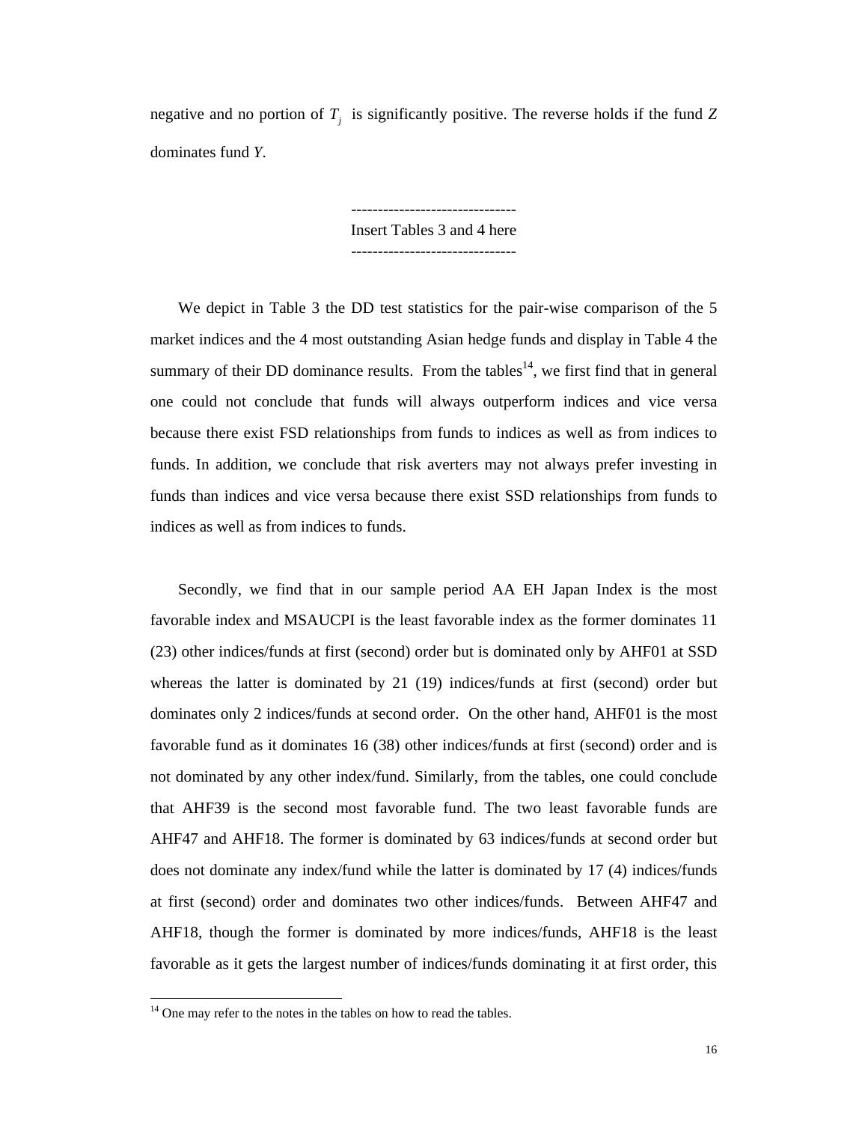negative and no portion of  $T_j$  is significantly positive. The reverse holds if the fund  $Z$ dominates fund *Y*.

> ------------------------------- Insert Tables 3 and 4 here -------------------------------

We depict in Table 3 the DD test statistics for the pair-wise comparison of the 5 market indices and the 4 most outstanding Asian hedge funds and display in Table 4 the summary of their DD dominance results. From the tables<sup>14</sup>, we first find that in general one could not conclude that funds will always outperform indices and vice versa because there exist FSD relationships from funds to indices as well as from indices to funds. In addition, we conclude that risk averters may not always prefer investing in funds than indices and vice versa because there exist SSD relationships from funds to indices as well as from indices to funds.

Secondly, we find that in our sample period AA EH Japan Index is the most favorable index and MSAUCPI is the least favorable index as the former dominates 11 (23) other indices/funds at first (second) order but is dominated only by AHF01 at SSD whereas the latter is dominated by 21 (19) indices/funds at first (second) order but dominates only 2 indices/funds at second order. On the other hand, AHF01 is the most favorable fund as it dominates 16 (38) other indices/funds at first (second) order and is not dominated by any other index/fund. Similarly, from the tables, one could conclude that AHF39 is the second most favorable fund. The two least favorable funds are AHF47 and AHF18. The former is dominated by 63 indices/funds at second order but does not dominate any index/fund while the latter is dominated by 17 (4) indices/funds at first (second) order and dominates two other indices/funds. Between AHF47 and AHF18, though the former is dominated by more indices/funds, AHF18 is the least favorable as it gets the largest number of indices/funds dominating it at first order, this

 $\overline{a}$ 

 $14$  One may refer to the notes in the tables on how to read the tables.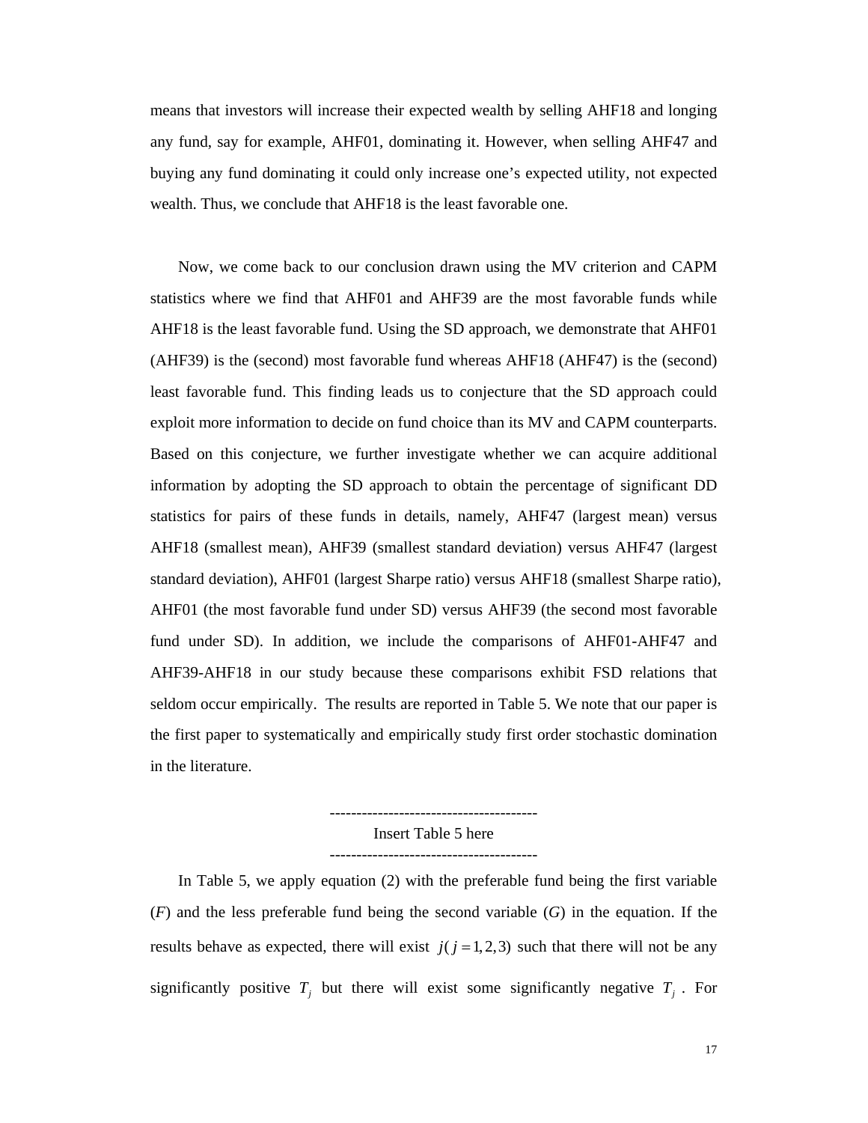means that investors will increase their expected wealth by selling AHF18 and longing any fund, say for example, AHF01, dominating it. However, when selling AHF47 and buying any fund dominating it could only increase one's expected utility, not expected wealth. Thus, we conclude that AHF18 is the least favorable one.

Now, we come back to our conclusion drawn using the MV criterion and CAPM statistics where we find that AHF01 and AHF39 are the most favorable funds while AHF18 is the least favorable fund. Using the SD approach, we demonstrate that AHF01 (AHF39) is the (second) most favorable fund whereas AHF18 (AHF47) is the (second) least favorable fund. This finding leads us to conjecture that the SD approach could exploit more information to decide on fund choice than its MV and CAPM counterparts. Based on this conjecture, we further investigate whether we can acquire additional information by adopting the SD approach to obtain the percentage of significant DD statistics for pairs of these funds in details, namely, AHF47 (largest mean) versus AHF18 (smallest mean), AHF39 (smallest standard deviation) versus AHF47 (largest standard deviation), AHF01 (largest Sharpe ratio) versus AHF18 (smallest Sharpe ratio), AHF01 (the most favorable fund under SD) versus AHF39 (the second most favorable fund under SD). In addition, we include the comparisons of AHF01-AHF47 and AHF39-AHF18 in our study because these comparisons exhibit FSD relations that seldom occur empirically. The results are reported in Table 5. We note that our paper is the first paper to systematically and empirically study first order stochastic domination in the literature.

> --------------------------------------- Insert Table 5 here

> ---------------------------------------

In Table 5, we apply equation (2) with the preferable fund being the first variable (*F*) and the less preferable fund being the second variable (*G*) in the equation. If the results behave as expected, there will exist  $j$  ( $j = 1, 2, 3$ ) such that there will not be any significantly positive  $T_j$  but there will exist some significantly negative  $T_j$ . For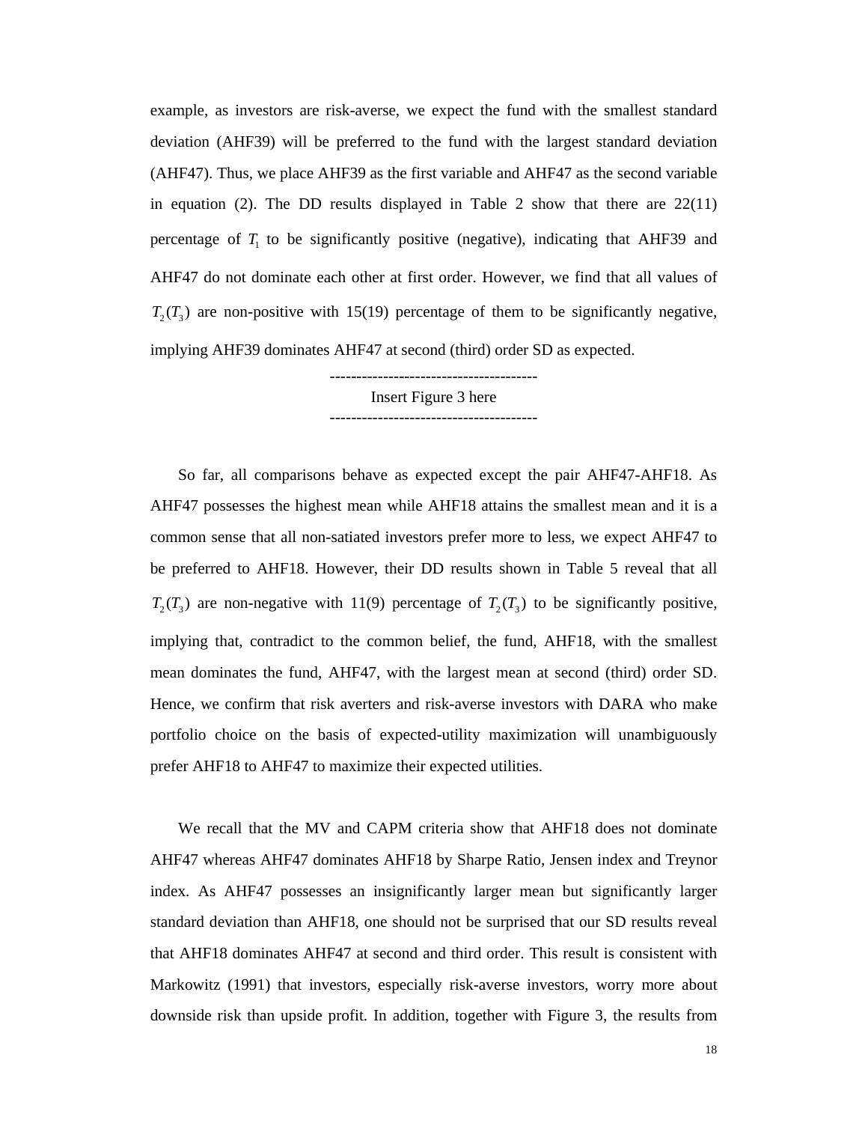example, as investors are risk-averse, we expect the fund with the smallest standard deviation (AHF39) will be preferred to the fund with the largest standard deviation (AHF47). Thus, we place AHF39 as the first variable and AHF47 as the second variable in equation (2). The DD results displayed in Table 2 show that there are  $22(11)$ percentage of  $T_1$  to be significantly positive (negative), indicating that AHF39 and AHF47 do not dominate each other at first order. However, we find that all values of  $T_2(T_3)$  are non-positive with 15(19) percentage of them to be significantly negative, implying AHF39 dominates AHF47 at second (third) order SD as expected.

> --------------------------------------- Insert Figure 3 here ---------------------------------------

So far, all comparisons behave as expected except the pair AHF47-AHF18. As AHF47 possesses the highest mean while AHF18 attains the smallest mean and it is a common sense that all non-satiated investors prefer more to less, we expect AHF47 to be preferred to AHF18. However, their DD results shown in Table 5 reveal that all  $T_1(T_3)$  are non-negative with 11(9) percentage of  $T_1(T_3)$  to be significantly positive, implying that, contradict to the common belief, the fund, AHF18, with the smallest mean dominates the fund, AHF47, with the largest mean at second (third) order SD. Hence, we confirm that risk averters and risk-averse investors with DARA who make portfolio choice on the basis of expected-utility maximization will unambiguously prefer AHF18 to AHF47 to maximize their expected utilities.

We recall that the MV and CAPM criteria show that AHF18 does not dominate AHF47 whereas AHF47 dominates AHF18 by Sharpe Ratio, Jensen index and Treynor index. As AHF47 possesses an insignificantly larger mean but significantly larger standard deviation than AHF18, one should not be surprised that our SD results reveal that AHF18 dominates AHF47 at second and third order. This result is consistent with Markowitz (1991) that investors, especially risk-averse investors, worry more about downside risk than upside profit. In addition, together with Figure 3, the results from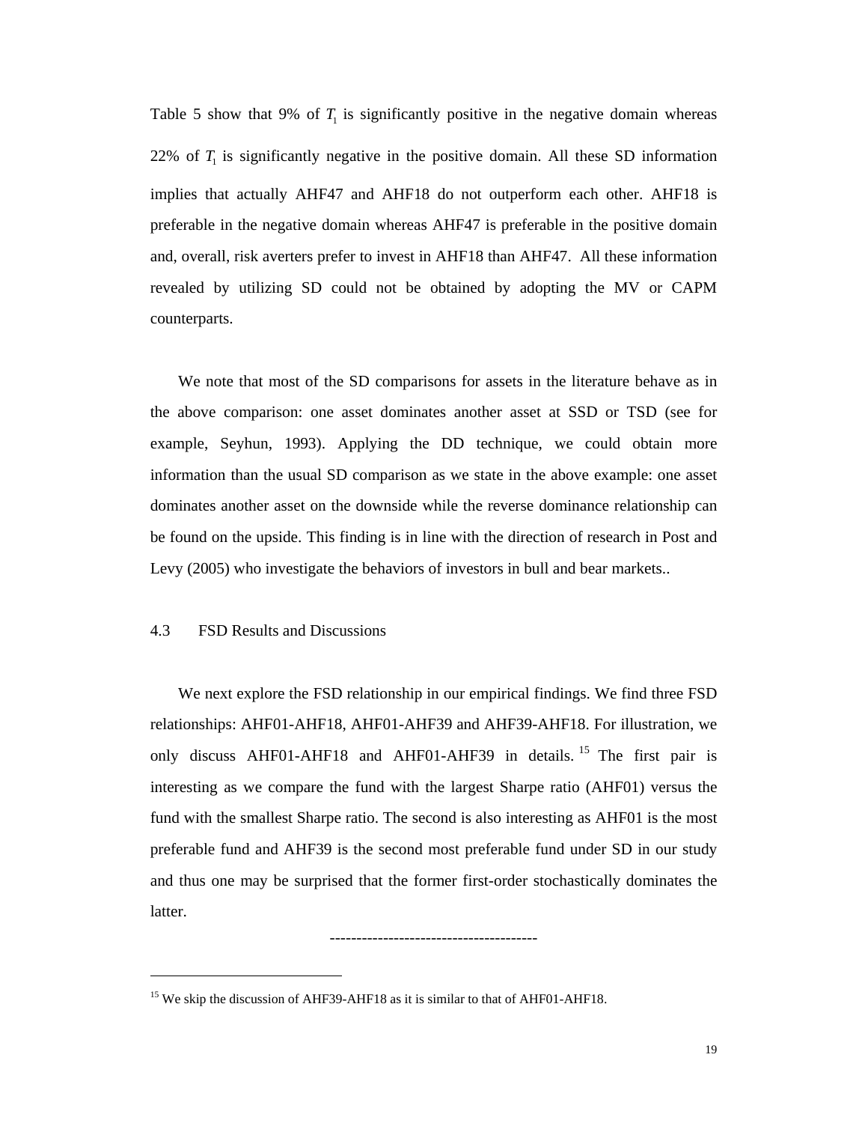Table 5 show that 9% of  $T_1$  is significantly positive in the negative domain whereas 22% of  $T_1$  is significantly negative in the positive domain. All these SD information implies that actually AHF47 and AHF18 do not outperform each other. AHF18 is preferable in the negative domain whereas AHF47 is preferable in the positive domain and, overall, risk averters prefer to invest in AHF18 than AHF47. All these information revealed by utilizing SD could not be obtained by adopting the MV or CAPM counterparts.

We note that most of the SD comparisons for assets in the literature behave as in the above comparison: one asset dominates another asset at SSD or TSD (see for example, Seyhun, 1993). Applying the DD technique, we could obtain more information than the usual SD comparison as we state in the above example: one asset dominates another asset on the downside while the reverse dominance relationship can be found on the upside. This finding is in line with the direction of research in Post and Levy (2005) who investigate the behaviors of investors in bull and bear markets..

#### 4.3 FSD Results and Discussions

 $\overline{a}$ 

We next explore the FSD relationship in our empirical findings. We find three FSD relationships: AHF01-AHF18, AHF01-AHF39 and AHF39-AHF18. For illustration, we only discuss AHF01-AHF18 and AHF01-AHF39 in details.<sup>15</sup> The first pair is interesting as we compare the fund with the largest Sharpe ratio (AHF01) versus the fund with the smallest Sharpe ratio. The second is also interesting as AHF01 is the most preferable fund and AHF39 is the second most preferable fund under SD in our study and thus one may be surprised that the former first-order stochastically dominates the latter.

---------------------------------------

<sup>&</sup>lt;sup>15</sup> We skip the discussion of AHF39-AHF18 as it is similar to that of AHF01-AHF18.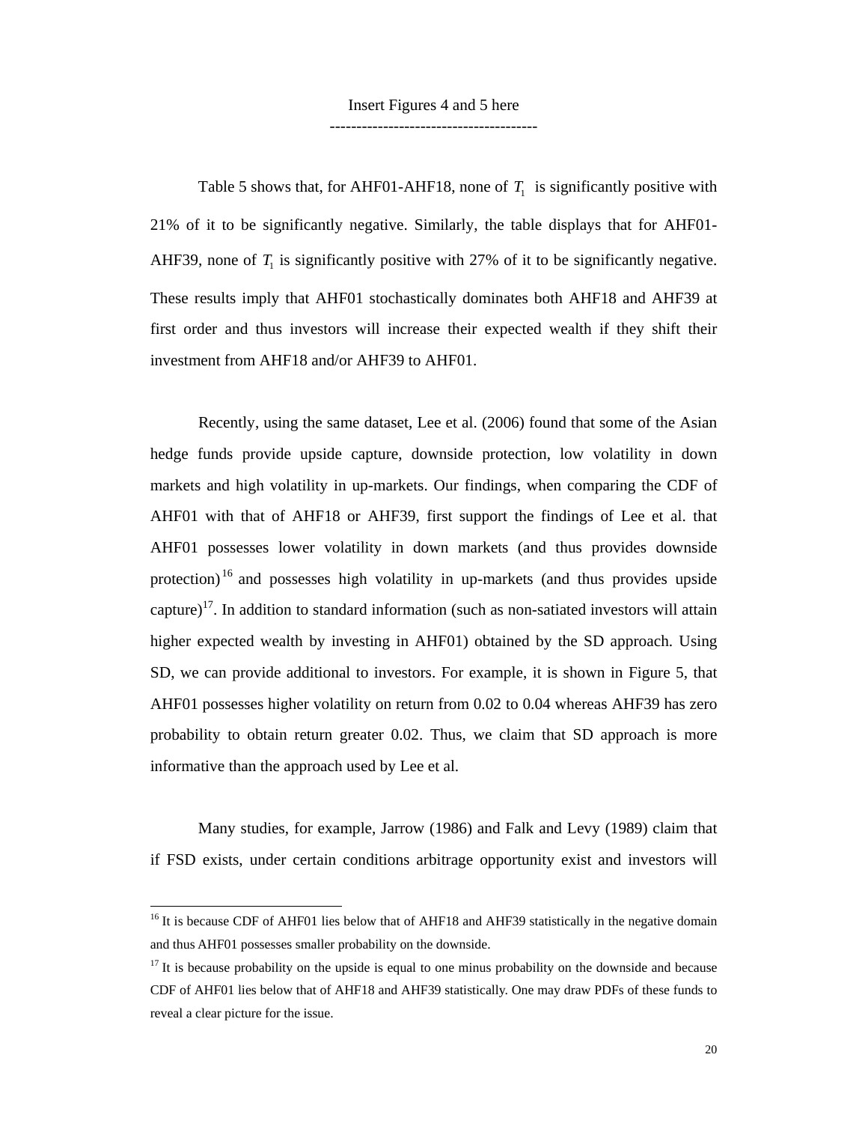Insert Figures 4 and 5 here ---------------------------------------

Table 5 shows that, for AHF01-AHF18, none of  $T_1$  is significantly positive with 21% of it to be significantly negative. Similarly, the table displays that for AHF01- AHF39, none of  $T_1$  is significantly positive with 27% of it to be significantly negative. These results imply that AHF01 stochastically dominates both AHF18 and AHF39 at first order and thus investors will increase their expected wealth if they shift their investment from AHF18 and/or AHF39 to AHF01.

Recently, using the same dataset, Lee et al. (2006) found that some of the Asian hedge funds provide upside capture, downside protection, low volatility in down markets and high volatility in up-markets. Our findings, when comparing the CDF of AHF01 with that of AHF18 or AHF39, first support the findings of Lee et al. that AHF01 possesses lower volatility in down markets (and thus provides downside protection) 16 and possesses high volatility in up-markets (and thus provides upside capture)<sup>17</sup>. In addition to standard information (such as non-satiated investors will attain higher expected wealth by investing in AHF01) obtained by the SD approach. Using SD, we can provide additional to investors. For example, it is shown in Figure 5, that AHF01 possesses higher volatility on return from 0.02 to 0.04 whereas AHF39 has zero probability to obtain return greater 0.02. Thus, we claim that SD approach is more informative than the approach used by Lee et al.

Many studies, for example, Jarrow (1986) and Falk and Levy (1989) claim that if FSD exists, under certain conditions arbitrage opportunity exist and investors will

<sup>&</sup>lt;sup>16</sup> It is because CDF of AHF01 lies below that of AHF18 and AHF39 statistically in the negative domain and thus AHF01 possesses smaller probability on the downside.

 $17$  It is because probability on the upside is equal to one minus probability on the downside and because CDF of AHF01 lies below that of AHF18 and AHF39 statistically. One may draw PDFs of these funds to reveal a clear picture for the issue.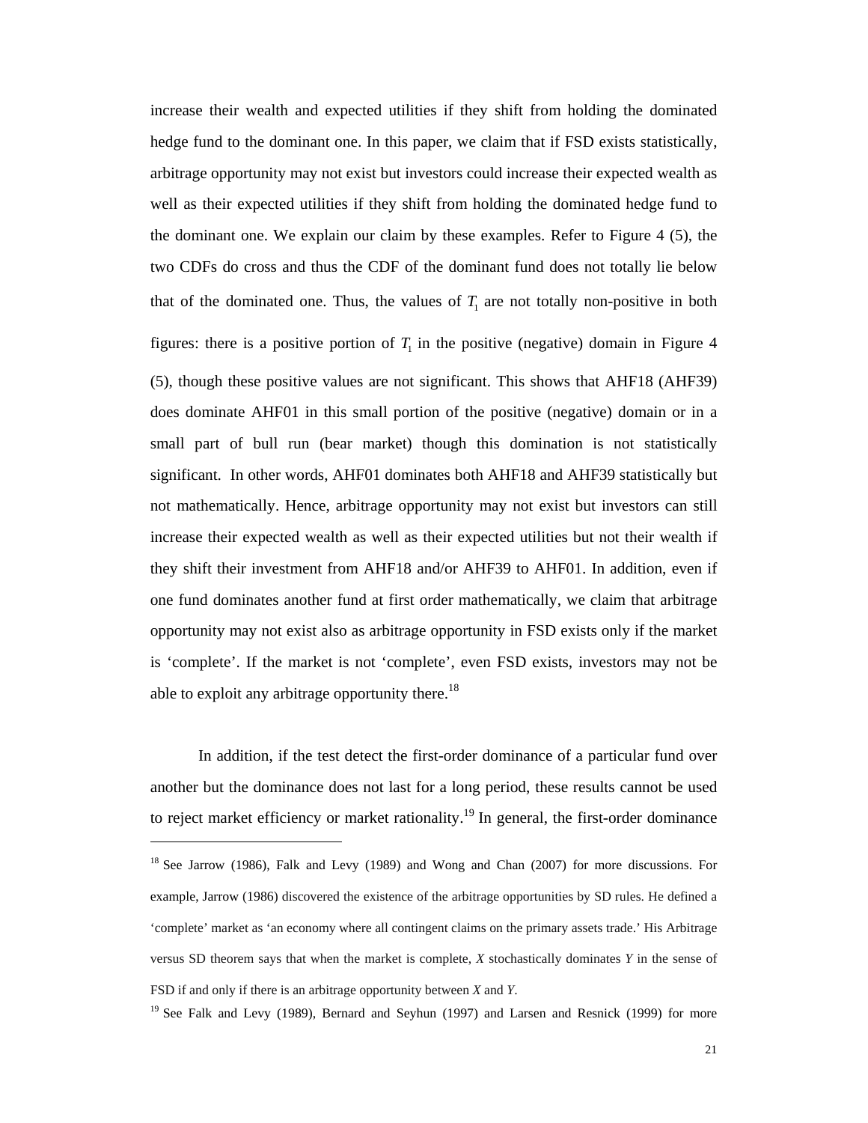increase their wealth and expected utilities if they shift from holding the dominated hedge fund to the dominant one. In this paper, we claim that if FSD exists statistically, arbitrage opportunity may not exist but investors could increase their expected wealth as well as their expected utilities if they shift from holding the dominated hedge fund to the dominant one. We explain our claim by these examples. Refer to Figure 4 (5), the two CDFs do cross and thus the CDF of the dominant fund does not totally lie below that of the dominated one. Thus, the values of  $T<sub>1</sub>$  are not totally non-positive in both figures: there is a positive portion of  $T<sub>1</sub>$  in the positive (negative) domain in Figure 4 (5), though these positive values are not significant. This shows that AHF18 (AHF39) does dominate AHF01 in this small portion of the positive (negative) domain or in a small part of bull run (bear market) though this domination is not statistically significant. In other words, AHF01 dominates both AHF18 and AHF39 statistically but not mathematically. Hence, arbitrage opportunity may not exist but investors can still increase their expected wealth as well as their expected utilities but not their wealth if they shift their investment from AHF18 and/or AHF39 to AHF01. In addition, even if one fund dominates another fund at first order mathematically, we claim that arbitrage opportunity may not exist also as arbitrage opportunity in FSD exists only if the market is 'complete'. If the market is not 'complete', even FSD exists, investors may not be able to exploit any arbitrage opportunity there.<sup>18</sup>

In addition, if the test detect the first-order dominance of a particular fund over another but the dominance does not last for a long period, these results cannot be used to reject market efficiency or market rationality.<sup>19</sup> In general, the first-order dominance

 $\overline{a}$ 

<sup>&</sup>lt;sup>18</sup> See Jarrow (1986), Falk and Levy (1989) and Wong and Chan (2007) for more discussions. For example, Jarrow (1986) discovered the existence of the arbitrage opportunities by SD rules. He defined a 'complete' market as 'an economy where all contingent claims on the primary assets trade.' His Arbitrage versus SD theorem says that when the market is complete, *X* stochastically dominates *Y* in the sense of FSD if and only if there is an arbitrage opportunity between *X* and *Y*.

<sup>&</sup>lt;sup>19</sup> See Falk and Levy (1989), Bernard and Seyhun (1997) and Larsen and Resnick (1999) for more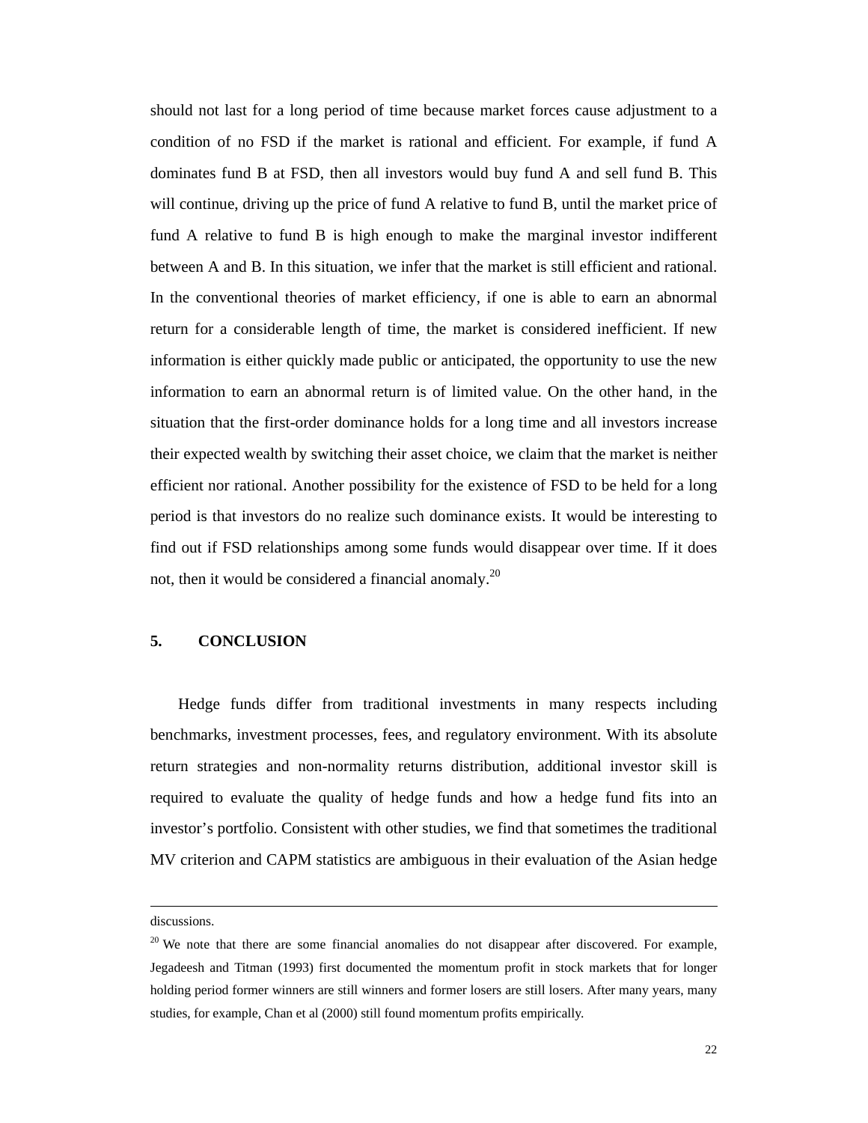should not last for a long period of time because market forces cause adjustment to a condition of no FSD if the market is rational and efficient. For example, if fund A dominates fund B at FSD, then all investors would buy fund A and sell fund B. This will continue, driving up the price of fund A relative to fund B, until the market price of fund A relative to fund B is high enough to make the marginal investor indifferent between A and B. In this situation, we infer that the market is still efficient and rational. In the conventional theories of market efficiency, if one is able to earn an abnormal return for a considerable length of time, the market is considered inefficient. If new information is either quickly made public or anticipated, the opportunity to use the new information to earn an abnormal return is of limited value. On the other hand, in the situation that the first-order dominance holds for a long time and all investors increase their expected wealth by switching their asset choice, we claim that the market is neither efficient nor rational. Another possibility for the existence of FSD to be held for a long period is that investors do no realize such dominance exists. It would be interesting to find out if FSD relationships among some funds would disappear over time. If it does not, then it would be considered a financial anomaly.<sup>20</sup>

### **5. CONCLUSION**

Hedge funds differ from traditional investments in many respects including benchmarks, investment processes, fees, and regulatory environment. With its absolute return strategies and non-normality returns distribution, additional investor skill is required to evaluate the quality of hedge funds and how a hedge fund fits into an investor's portfolio. Consistent with other studies, we find that sometimes the traditional MV criterion and CAPM statistics are ambiguous in their evaluation of the Asian hedge

discussions.

<sup>&</sup>lt;sup>20</sup> We note that there are some financial anomalies do not disappear after discovered. For example, Jegadeesh and Titman (1993) first documented the momentum profit in stock markets that for longer holding period former winners are still winners and former losers are still losers. After many years, many studies, for example, Chan et al (2000) still found momentum profits empirically.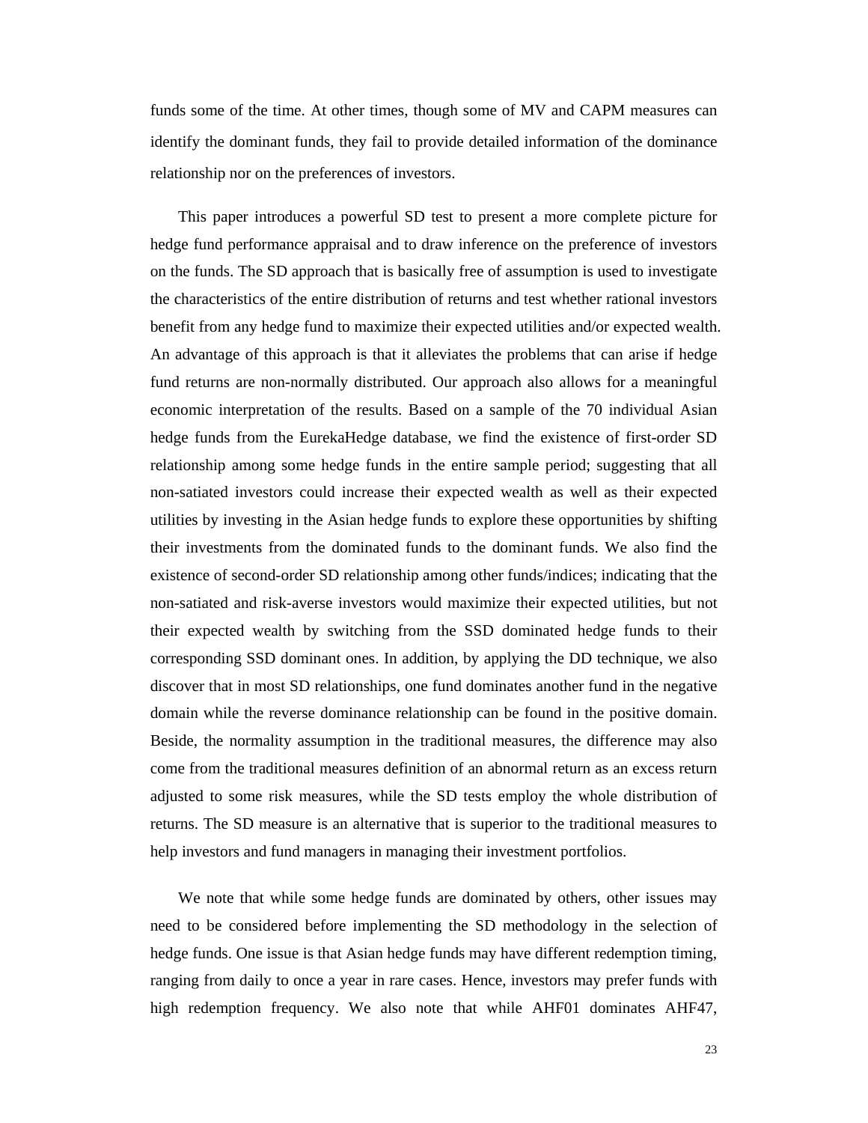funds some of the time. At other times, though some of MV and CAPM measures can identify the dominant funds, they fail to provide detailed information of the dominance relationship nor on the preferences of investors.

This paper introduces a powerful SD test to present a more complete picture for hedge fund performance appraisal and to draw inference on the preference of investors on the funds. The SD approach that is basically free of assumption is used to investigate the characteristics of the entire distribution of returns and test whether rational investors benefit from any hedge fund to maximize their expected utilities and/or expected wealth. An advantage of this approach is that it alleviates the problems that can arise if hedge fund returns are non-normally distributed. Our approach also allows for a meaningful economic interpretation of the results. Based on a sample of the 70 individual Asian hedge funds from the EurekaHedge database, we find the existence of first-order SD relationship among some hedge funds in the entire sample period; suggesting that all non-satiated investors could increase their expected wealth as well as their expected utilities by investing in the Asian hedge funds to explore these opportunities by shifting their investments from the dominated funds to the dominant funds. We also find the existence of second-order SD relationship among other funds/indices; indicating that the non-satiated and risk-averse investors would maximize their expected utilities, but not their expected wealth by switching from the SSD dominated hedge funds to their corresponding SSD dominant ones. In addition, by applying the DD technique, we also discover that in most SD relationships, one fund dominates another fund in the negative domain while the reverse dominance relationship can be found in the positive domain. Beside, the normality assumption in the traditional measures, the difference may also come from the traditional measures definition of an abnormal return as an excess return adjusted to some risk measures, while the SD tests employ the whole distribution of returns. The SD measure is an alternative that is superior to the traditional measures to help investors and fund managers in managing their investment portfolios.

We note that while some hedge funds are dominated by others, other issues may need to be considered before implementing the SD methodology in the selection of hedge funds. One issue is that Asian hedge funds may have different redemption timing, ranging from daily to once a year in rare cases. Hence, investors may prefer funds with high redemption frequency. We also note that while AHF01 dominates AHF47,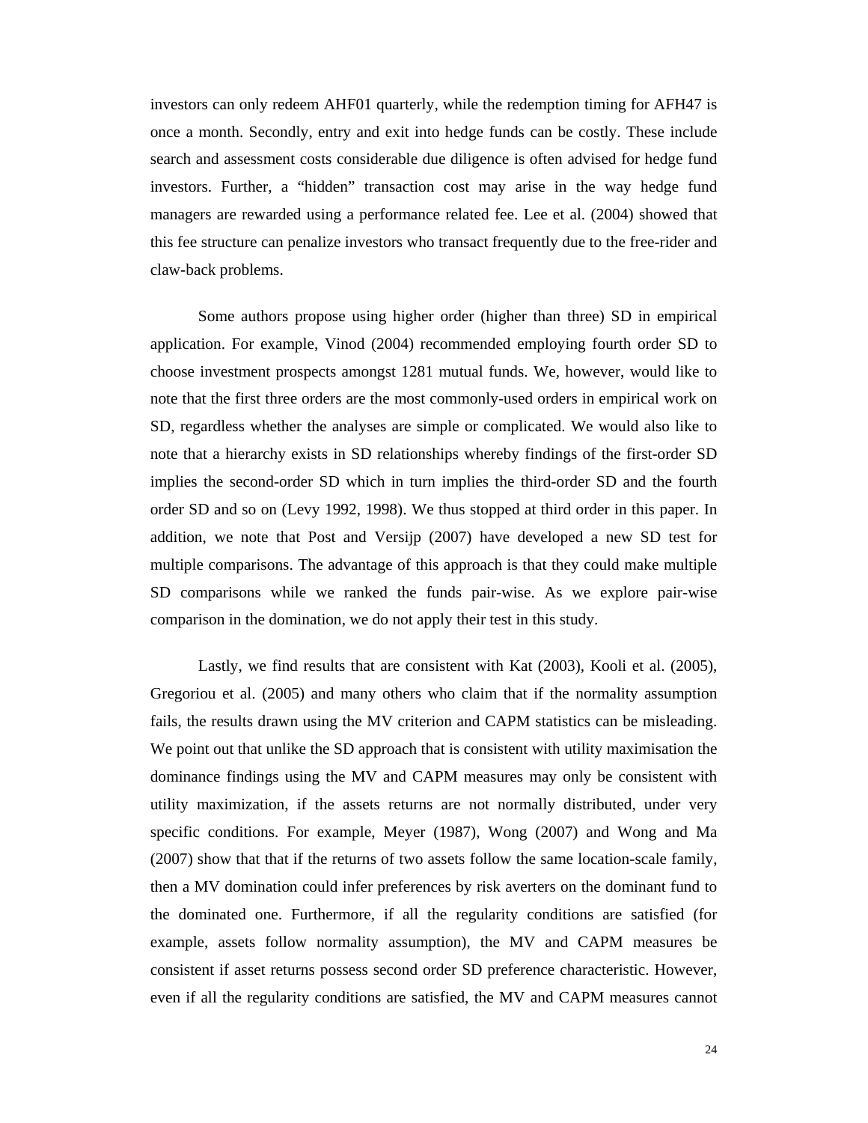investors can only redeem AHF01 quarterly, while the redemption timing for AFH47 is once a month. Secondly, entry and exit into hedge funds can be costly. These include search and assessment costs considerable due diligence is often advised for hedge fund investors. Further, a "hidden" transaction cost may arise in the way hedge fund managers are rewarded using a performance related fee. Lee et al. (2004) showed that this fee structure can penalize investors who transact frequently due to the free-rider and claw-back problems.

Some authors propose using higher order (higher than three) SD in empirical application. For example, Vinod (2004) recommended employing fourth order SD to choose investment prospects amongst 1281 mutual funds. We, however, would like to note that the first three orders are the most commonly-used orders in empirical work on SD, regardless whether the analyses are simple or complicated. We would also like to note that a hierarchy exists in SD relationships whereby findings of the first-order SD implies the second-order SD which in turn implies the third-order SD and the fourth order SD and so on (Levy 1992, 1998). We thus stopped at third order in this paper. In addition, we note that Post and Versijp (2007) have developed a new SD test for multiple comparisons. The advantage of this approach is that they could make multiple SD comparisons while we ranked the funds pair-wise. As we explore pair-wise comparison in the domination, we do not apply their test in this study.

Lastly, we find results that are consistent with Kat (2003), Kooli et al. (2005), Gregoriou et al. (2005) and many others who claim that if the normality assumption fails, the results drawn using the MV criterion and CAPM statistics can be misleading. We point out that unlike the SD approach that is consistent with utility maximisation the dominance findings using the MV and CAPM measures may only be consistent with utility maximization, if the assets returns are not normally distributed, under very specific conditions. For example, Meyer (1987), Wong (2007) and Wong and Ma (2007) show that that if the returns of two assets follow the same location-scale family, then a MV domination could infer preferences by risk averters on the dominant fund to the dominated one. Furthermore, if all the regularity conditions are satisfied (for example, assets follow normality assumption), the MV and CAPM measures be consistent if asset returns possess second order SD preference characteristic. However, even if all the regularity conditions are satisfied, the MV and CAPM measures cannot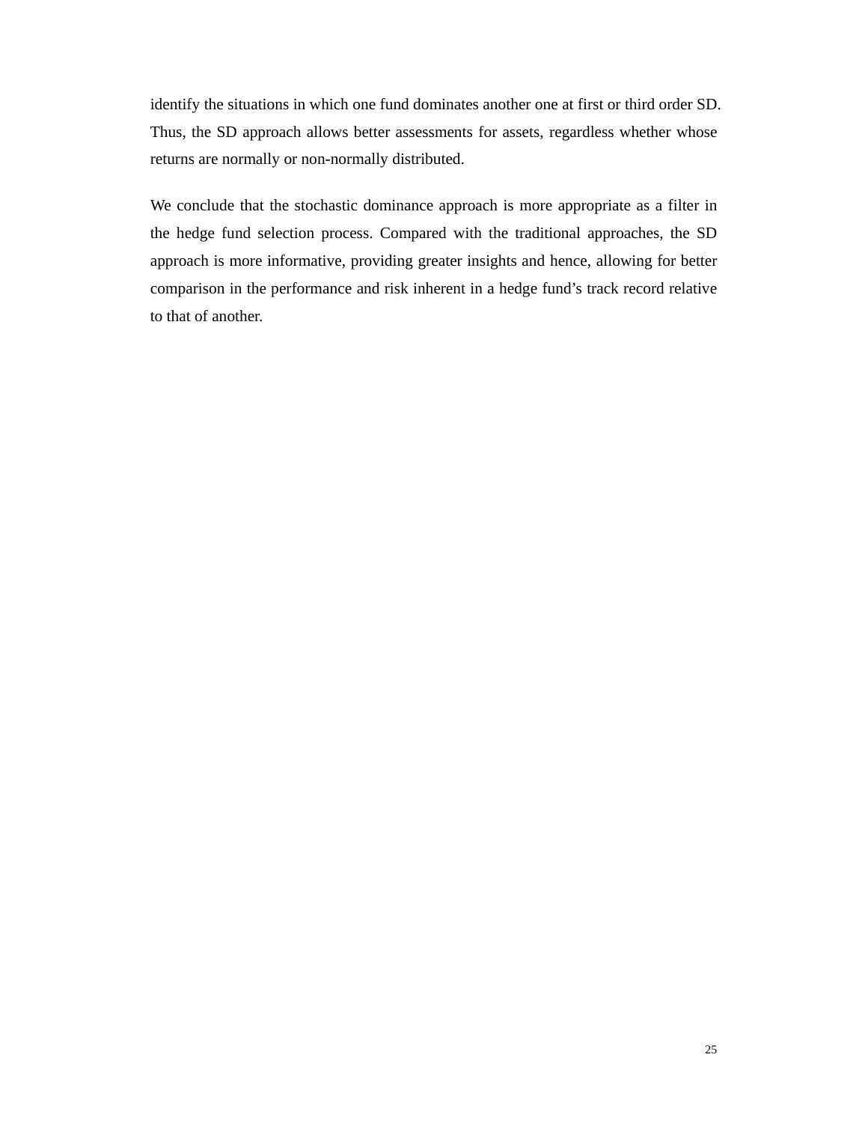identify the situations in which one fund dominates another one at first or third order SD. Thus, the SD approach allows better assessments for assets, regardless whether whose returns are normally or non-normally distributed.

We conclude that the stochastic dominance approach is more appropriate as a filter in the hedge fund selection process. Compared with the traditional approaches, the SD approach is more informative, providing greater insights and hence, allowing for better comparison in the performance and risk inherent in a hedge fund's track record relative to that of another.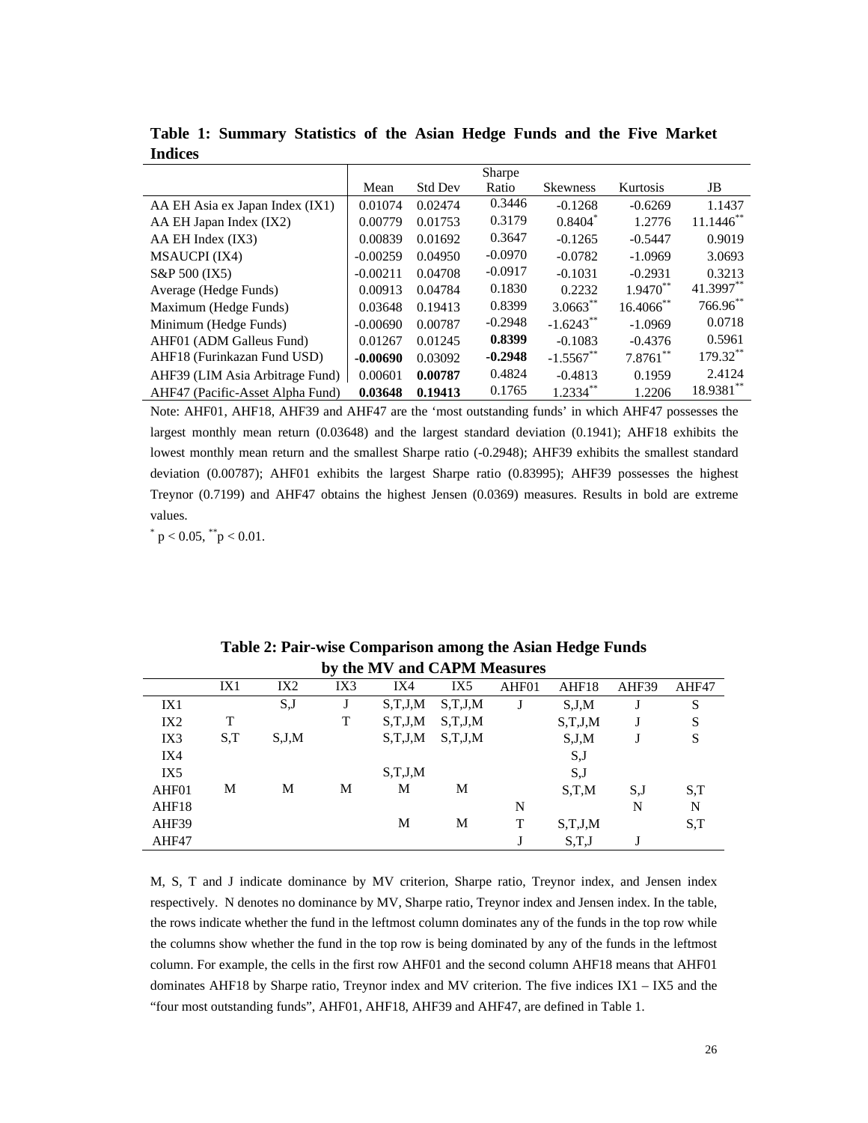|                                  |            |                | Sharpe    |                 |             |               |
|----------------------------------|------------|----------------|-----------|-----------------|-------------|---------------|
|                                  | Mean       | <b>Std Dev</b> | Ratio     | <b>Skewness</b> | Kurtosis    | JB            |
| AA EH Asia ex Japan Index (IX1)  | 0.01074    | 0.02474        | 0.3446    | $-0.1268$       | $-0.6269$   | 1.1437        |
| AA EH Japan Index (IX2)          | 0.00779    | 0.01753        | 0.3179    | $0.8404*$       | 1.2776      | $11.1446$ **  |
| AA EH Index (IX3)                | 0.00839    | 0.01692        | 0.3647    | $-0.1265$       | $-0.5447$   | 0.9019        |
| <b>MSAUCPI</b> (IX4)             | $-0.00259$ | 0.04950        | $-0.0970$ | $-0.0782$       | $-1.0969$   | 3.0693        |
| S&P 500 (IX5)                    | $-0.00211$ | 0.04708        | $-0.0917$ | $-0.1031$       | $-0.2931$   | 0.3213        |
| Average (Hedge Funds)            | 0.00913    | 0.04784        | 0.1830    | 0.2232          | $1.9470**$  | 41.3997**     |
| Maximum (Hedge Funds)            | 0.03648    | 0.19413        | 0.8399    | $3.0663$ **     | 16.4066**   | $766.96^{**}$ |
| Minimum (Hedge Funds)            | $-0.00690$ | 0.00787        | $-0.2948$ | $-1.6243$ **    | $-1.0969$   | 0.0718        |
| AHF01 (ADM Galleus Fund)         | 0.01267    | 0.01245        | 0.8399    | $-0.1083$       | $-0.4376$   | 0.5961        |
| AHF18 (Furinkazan Fund USD)      | $-0.00690$ | 0.03092        | $-0.2948$ | $-1.5567$ **    | $7.8761***$ | $179.32$ **   |
| AHF39 (LIM Asia Arbitrage Fund)  | 0.00601    | 0.00787        | 0.4824    | $-0.4813$       | 0.1959      | 2.4124        |
| AHF47 (Pacific-Asset Alpha Fund) | 0.03648    | 0.19413        | 0.1765    | $1.2334***$     | 1.2206      | $18.9381***$  |

**Table 1: Summary Statistics of the Asian Hedge Funds and the Five Market Indices** 

Note: AHF01, AHF18, AHF39 and AHF47 are the 'most outstanding funds' in which AHF47 possesses the largest monthly mean return (0.03648) and the largest standard deviation (0.1941); AHF18 exhibits the lowest monthly mean return and the smallest Sharpe ratio (-0.2948); AHF39 exhibits the smallest standard deviation (0.00787); AHF01 exhibits the largest Sharpe ratio (0.83995); AHF39 possesses the highest Treynor (0.7199) and AHF47 obtains the highest Jensen (0.0369) measures. Results in bold are extreme values.

 $p < 0.05$ ,  $p < 0.01$ .

| by the My and CAT M measures |     |                 |     |         |                 |       |         |       |       |
|------------------------------|-----|-----------------|-----|---------|-----------------|-------|---------|-------|-------|
|                              | IX1 | IX <sub>2</sub> | IX3 | IX4     | IX <sub>5</sub> | AHF01 | AHF18   | AHF39 | AHF47 |
| IX <sub>1</sub>              |     | S,J             | J   | S,T,J,M | S,T,J,M         |       | S,J,M   |       | S     |
| IX2                          | т   |                 | T   | S,T,J,M | S,T,J,M         |       | S,T,J,M | J     | S     |
| IX3                          | S.T | S.J.M           |     | S,T,J,M | S,T,J,M         |       | S,J,M   | J     | S     |
| IX4                          |     |                 |     |         |                 |       | S,J     |       |       |
| IX <sub>5</sub>              |     |                 |     | S,T,J,M |                 |       | S.J     |       |       |
| AHF01                        | М   | М               | М   | М       | M               |       | S.T.M   | S,J   | S,T   |
| AHF18                        |     |                 |     |         |                 | N     |         | N     | N     |
| AHF39                        |     |                 |     | М       | M               | T     | S,T,J,M |       | S.T   |
| AHF47                        |     |                 |     |         |                 |       | S.T.J   |       |       |

**Table 2: Pair-wise Comparison among the Asian Hedge Funds by the MV and CAPM Measures** 

M, S, T and J indicate dominance by MV criterion, Sharpe ratio, Treynor index, and Jensen index respectively. N denotes no dominance by MV, Sharpe ratio, Treynor index and Jensen index. In the table, the rows indicate whether the fund in the leftmost column dominates any of the funds in the top row while the columns show whether the fund in the top row is being dominated by any of the funds in the leftmost column. For example, the cells in the first row AHF01 and the second column AHF18 means that AHF01 dominates AHF18 by Sharpe ratio, Treynor index and MV criterion. The five indices IX1 – IX5 and the "four most outstanding funds", AHF01, AHF18, AHF39 and AHF47, are defined in Table 1.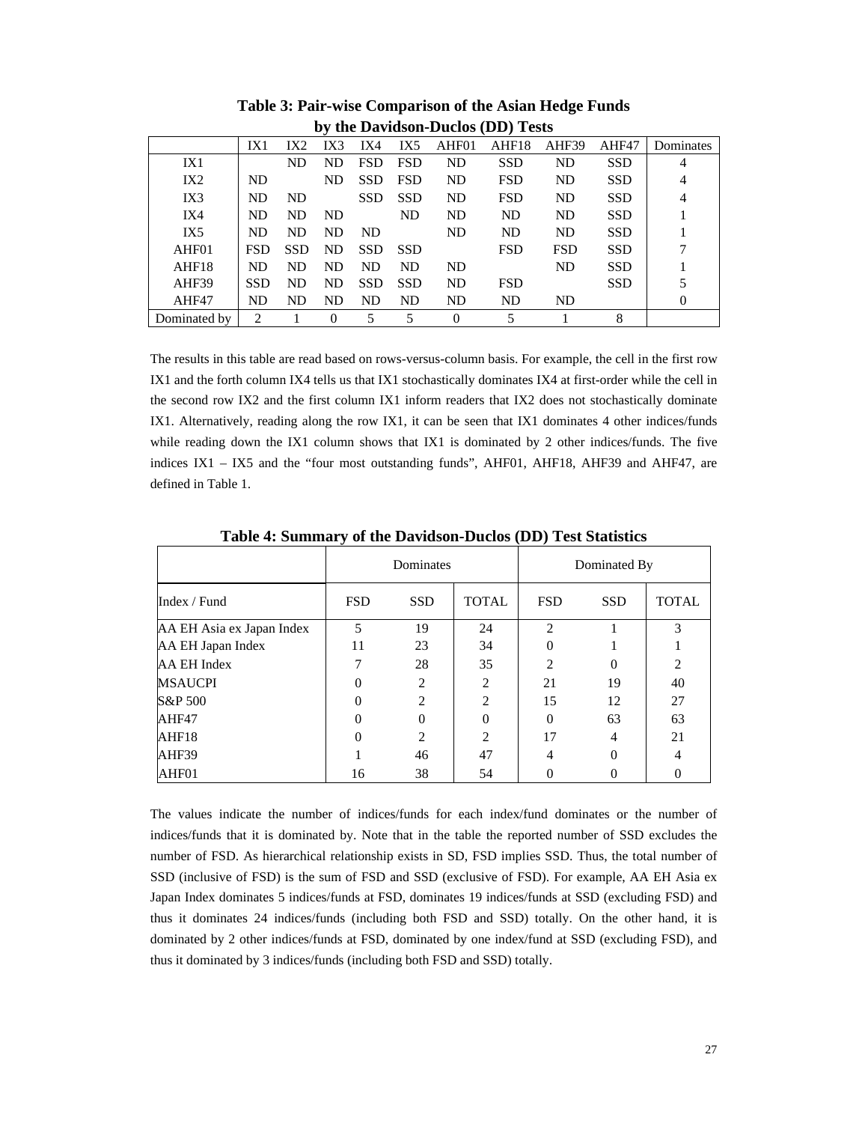| $\mathbf{v}$ and $\mathbf{v}$ and $\mathbf{v}$ and $\mathbf{v}$ and $\mathbf{v}$ and $\mathbf{v}$ and $\mathbf{v}$ and $\mathbf{v}$ |            |            |          |            |                 |           |            |            |            |                |
|-------------------------------------------------------------------------------------------------------------------------------------|------------|------------|----------|------------|-----------------|-----------|------------|------------|------------|----------------|
|                                                                                                                                     | IX1        | IX2        | IX3      | IX4        | IX <sub>5</sub> | AHF01     | AHF18      | AHF39      | AHF47      | Dominates      |
| IX <sub>1</sub>                                                                                                                     |            | <b>ND</b>  | ND       | <b>FSD</b> | <b>FSD</b>      | <b>ND</b> | <b>SSD</b> | <b>ND</b>  | <b>SSD</b> | $\overline{4}$ |
| IX2                                                                                                                                 | ND         |            | ND       | SSD.       | <b>FSD</b>      | ND        | <b>FSD</b> | ND         | <b>SSD</b> | 4              |
| IX3                                                                                                                                 | <b>ND</b>  | ND.        |          | <b>SSD</b> | <b>SSD</b>      | <b>ND</b> | <b>FSD</b> | <b>ND</b>  | <b>SSD</b> | $\overline{4}$ |
| IX4                                                                                                                                 | ND         | ND.        | ND.      |            | ND              | <b>ND</b> | ND         | ND         | <b>SSD</b> |                |
| IX <sub>5</sub>                                                                                                                     | ND         | <b>ND</b>  | ND.      | ND.        |                 | ND        | ND         | ND         | <b>SSD</b> |                |
| AHF01                                                                                                                               | <b>FSD</b> | <b>SSD</b> | ND.      | <b>SSD</b> | <b>SSD</b>      |           | <b>FSD</b> | <b>FSD</b> | <b>SSD</b> |                |
| AHF18                                                                                                                               | ND         | ND.        | ND       | ND.        | ND              | ND        |            | ND         | <b>SSD</b> |                |
| AHF39                                                                                                                               | <b>SSD</b> | ND.        | ND       | <b>SSD</b> | <b>SSD</b>      | <b>ND</b> | <b>FSD</b> |            | <b>SSD</b> | 5              |
| AHF47                                                                                                                               | ND         | ND         | ND       | ND.        | ND              | <b>ND</b> | ND         | ND         |            | $\overline{0}$ |
| Dominated by                                                                                                                        | 2          |            | $\Omega$ | 5          | 5               | $\Omega$  | 5          |            | 8          |                |

**Table 3: Pair-wise Comparison of the Asian Hedge Funds by the Davidson-Duclos (DD) Tests** 

The results in this table are read based on rows-versus-column basis. For example, the cell in the first row IX1 and the forth column IX4 tells us that IX1 stochastically dominates IX4 at first-order while the cell in the second row IX2 and the first column IX1 inform readers that IX2 does not stochastically dominate IX1. Alternatively, reading along the row IX1, it can be seen that IX1 dominates 4 other indices/funds while reading down the IX1 column shows that IX1 is dominated by 2 other indices/funds. The five indices IX1 – IX5 and the "four most outstanding funds", AHF01, AHF18, AHF39 and AHF47, are defined in Table 1.

|                           |            | Dominates      |                | Dominated By                |                |                |  |
|---------------------------|------------|----------------|----------------|-----------------------------|----------------|----------------|--|
| Index / Fund              | <b>FSD</b> | <b>SSD</b>     | <b>TOTAL</b>   | <b>FSD</b>                  | <b>SSD</b>     | <b>TOTAL</b>   |  |
| AA EH Asia ex Japan Index | 5          | 19             | 24             | $\mathfrak{D}$              |                | 3              |  |
| AA EH Japan Index         | 11         | 23             | 34             | 0                           |                |                |  |
| <b>AA EH Index</b>        |            | 28             | 35             | $\mathcal{D}_{\mathcal{L}}$ | $\Omega$       | $\overline{2}$ |  |
| <b>MSAUCPI</b>            | $\Omega$   | 2              | 2              | 21                          | 19             | 40             |  |
| S&P 500                   | $\Omega$   | $\overline{2}$ | $\overline{2}$ | 15                          | 12             | 27             |  |
| AHF47                     | $\Omega$   | $\Omega$       | $\theta$       | $\Omega$                    | 63             | 63             |  |
| AHF18                     | $\Omega$   | 2              | $\overline{2}$ | 17                          | $\overline{4}$ | 21             |  |
| AHF39                     |            | 46             | 47             | 4                           | $\Omega$       | 4              |  |
| AHF01                     | 16         | 38             | 54             |                             |                |                |  |

**Table 4: Summary of the Davidson-Duclos (DD) Test Statistics** 

The values indicate the number of indices/funds for each index/fund dominates or the number of indices/funds that it is dominated by. Note that in the table the reported number of SSD excludes the number of FSD. As hierarchical relationship exists in SD, FSD implies SSD. Thus, the total number of SSD (inclusive of FSD) is the sum of FSD and SSD (exclusive of FSD). For example, AA EH Asia ex Japan Index dominates 5 indices/funds at FSD, dominates 19 indices/funds at SSD (excluding FSD) and thus it dominates 24 indices/funds (including both FSD and SSD) totally. On the other hand, it is dominated by 2 other indices/funds at FSD, dominated by one index/fund at SSD (excluding FSD), and thus it dominated by 3 indices/funds (including both FSD and SSD) totally.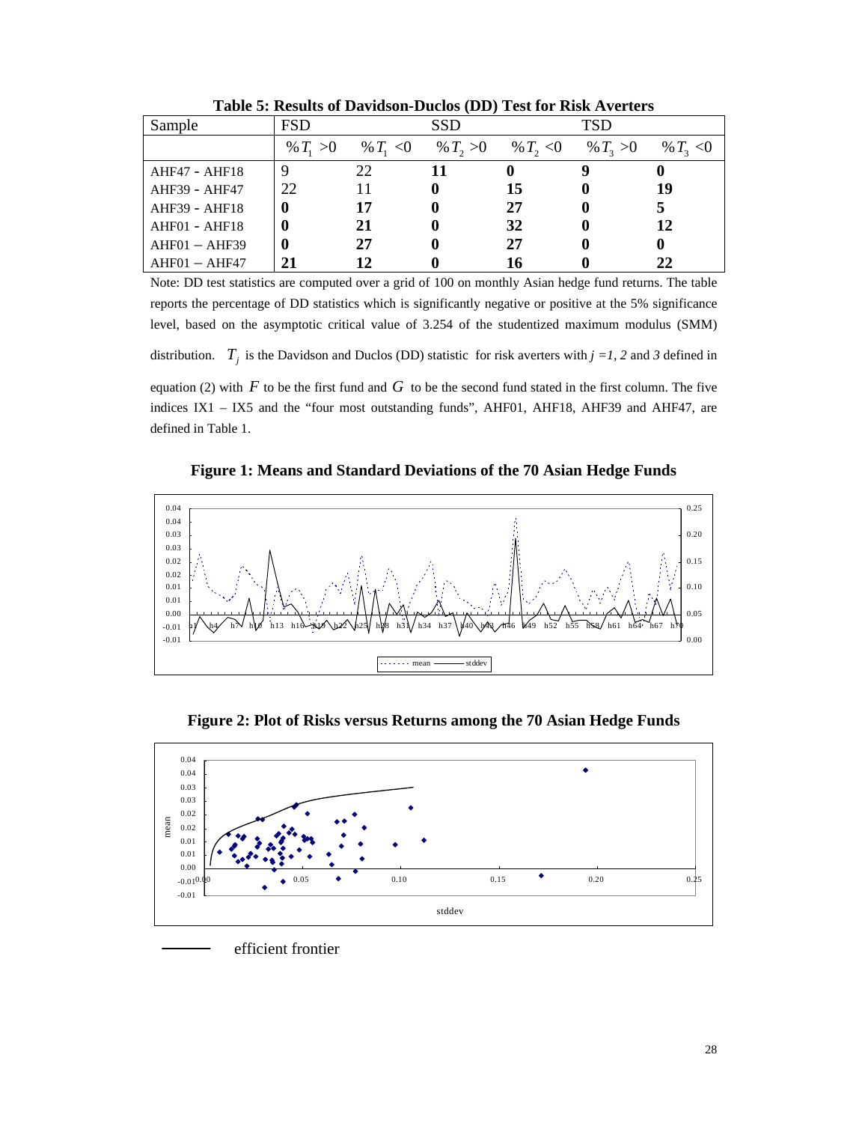| Sample          | <b>FSD</b>  |             | <b>SSD</b>    |               | <b>TSD</b>    |               |
|-----------------|-------------|-------------|---------------|---------------|---------------|---------------|
|                 | % $T_1 > 0$ | % $T_1$ < 0 | % $T_{2} > 0$ | % $T_{2}$ < 0 | % $T_{3} > 0$ | % $T_{3}$ < 0 |
| $AHF47 - AHF18$ | 9           | 22          |               |               |               |               |
| AHF39 - AHF47   | 22          | 11          |               | 15            |               | 19            |
| AHF39 - AHF18   | $\bf{0}$    | 17          |               | 27            |               |               |
| AHF01 - AHF18   | 0           | 21          |               | 32            |               |               |
| $AHF01 - AHF39$ | 0           | 27          |               | 27            |               |               |
| $AHF01 - AHF47$ | 21          | 12          |               |               |               |               |

**Table 5: Results of Davidson-Duclos (DD) Test for Risk Averters**

Note: DD test statistics are computed over a grid of 100 on monthly Asian hedge fund returns. The table reports the percentage of DD statistics which is significantly negative or positive at the 5% significance level, based on the asymptotic critical value of 3.254 of the studentized maximum modulus (SMM)

distribution.  $T_i$  is the Davidson and Duclos (DD) statistic for risk averters with  $j =l$ , 2 and 3 defined in

equation (2) with  $F$  to be the first fund and  $G$  to be the second fund stated in the first column. The five indices IX1 – IX5 and the "four most outstanding funds", AHF01, AHF18, AHF39 and AHF47, are defined in Table 1.

**Figure 1: Means and Standard Deviations of the 70 Asian Hedge Funds** 



**Figure 2: Plot of Risks versus Returns among the 70 Asian Hedge Funds** 



efficient frontier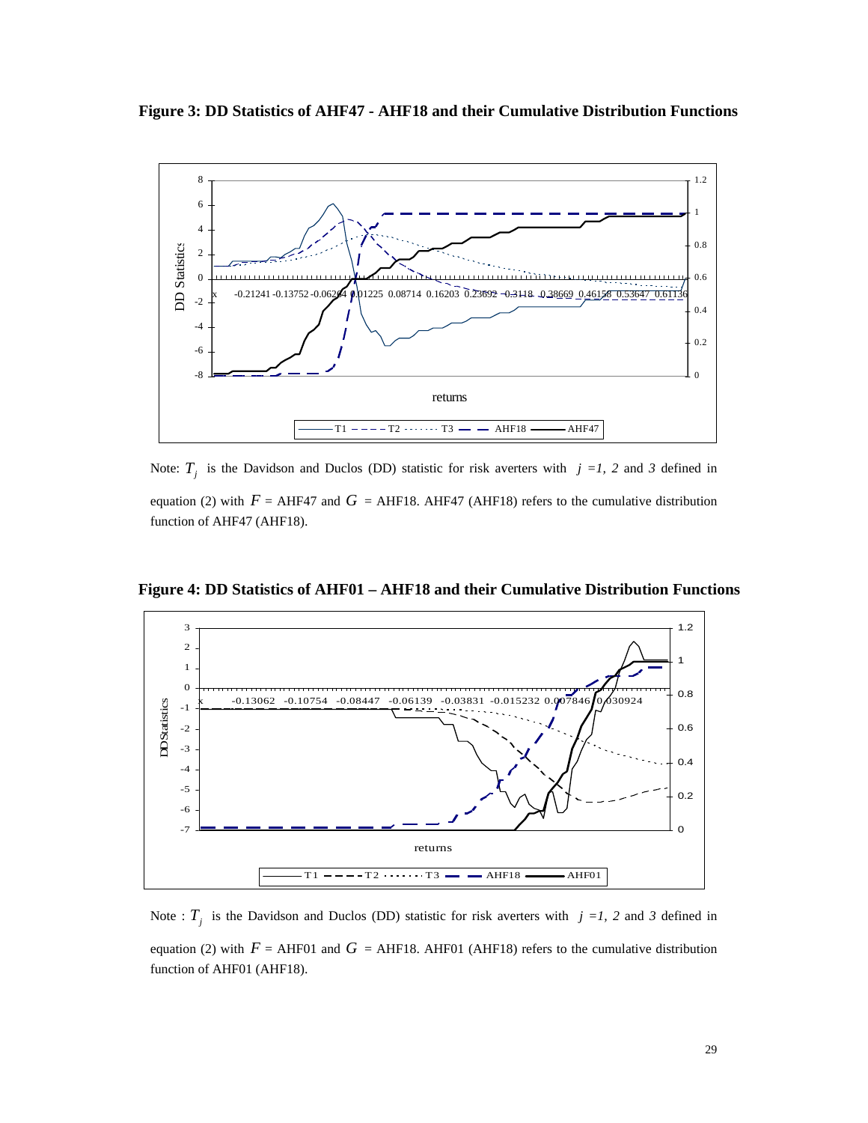**Figure 3: DD Statistics of AHF47 - AHF18 and their Cumulative Distribution Functions** 



Note:  $T_i$  is the Davidson and Duclos (DD) statistic for risk averters with  $j =l$ , 2 and 3 defined in equation (2) with  $F = AHF47$  and  $G = AHF18$ . AHF47 (AHF18) refers to the cumulative distribution function of AHF47 (AHF18).

**Figure 4: DD Statistics of AHF01 – AHF18 and their Cumulative Distribution Functions** 



Note :  $T_j$  is the Davidson and Duclos (DD) statistic for risk averters with  $j = 1$ , 2 and 3 defined in equation (2) with  $F = AHF01$  and  $G = AHF18$ . AHF01 (AHF18) refers to the cumulative distribution function of AHF01 (AHF18).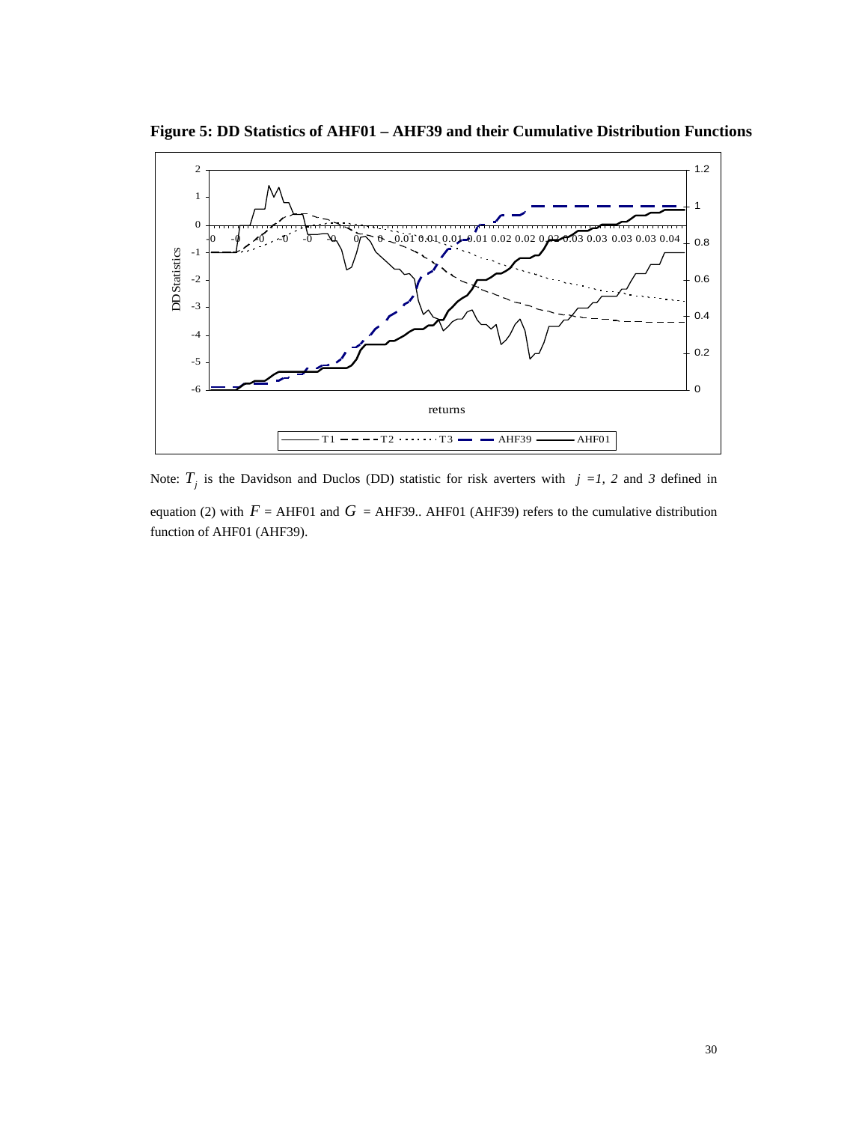

**Figure 5: DD Statistics of AHF01 – AHF39 and their Cumulative Distribution Functions** 

Note:  $T_j$  is the Davidson and Duclos (DD) statistic for risk averters with  $j = 1$ , 2 and 3 defined in equation (2) with  $F = AHF01$  and  $G = AHF39$ . AHF01 (AHF39) refers to the cumulative distribution function of AHF01 (AHF39).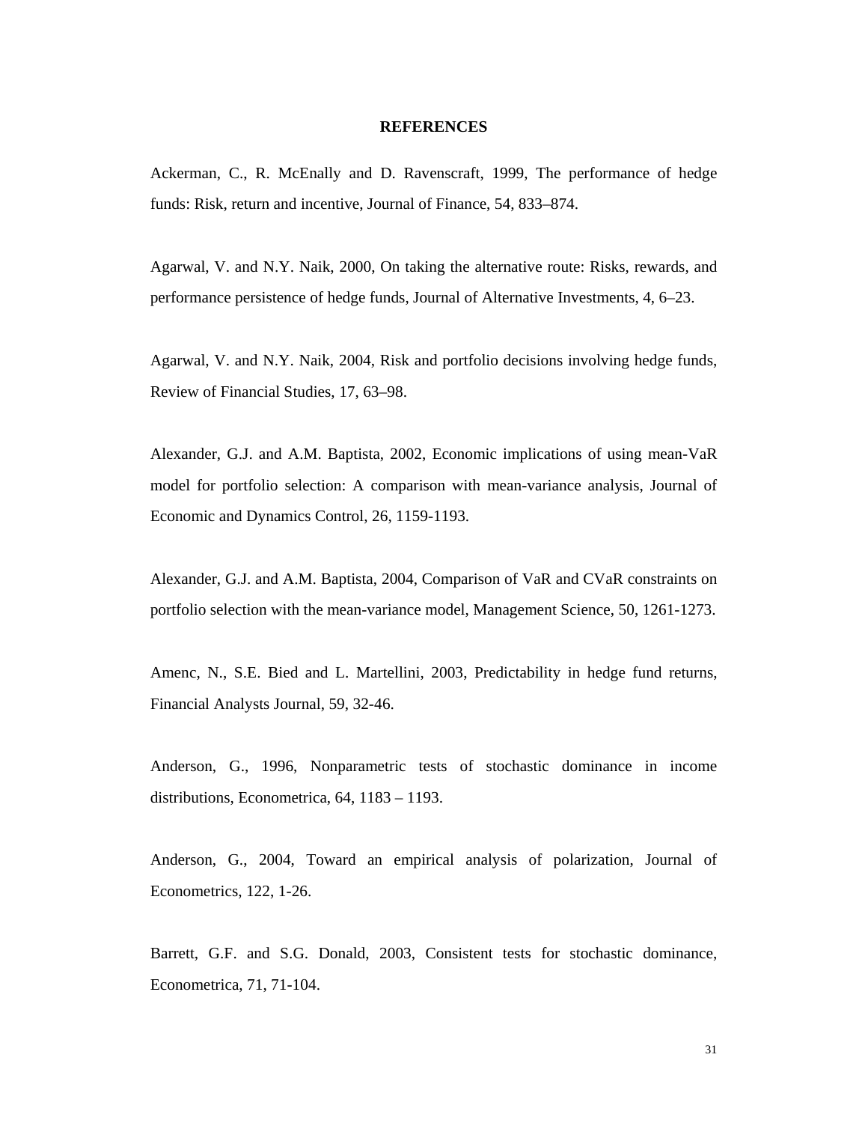#### **REFERENCES**

Ackerman, C., R. McEnally and D. Ravenscraft, 1999, The performance of hedge funds: Risk, return and incentive, Journal of Finance, 54, 833–874.

Agarwal, V. and N.Y. Naik, 2000, On taking the alternative route: Risks, rewards, and performance persistence of hedge funds, Journal of Alternative Investments, 4, 6–23.

Agarwal, V. and N.Y. Naik, 2004, Risk and portfolio decisions involving hedge funds, Review of Financial Studies, 17, 63–98.

Alexander, G.J. and A.M. Baptista, 2002, Economic implications of using mean-VaR model for portfolio selection: A comparison with mean-variance analysis, Journal of Economic and Dynamics Control, 26, 1159-1193.

Alexander, G.J. and A.M. Baptista, 2004, Comparison of VaR and CVaR constraints on portfolio selection with the mean-variance model, Management Science, 50, 1261-1273.

Amenc, N., S.E. Bied and L. Martellini, 2003, Predictability in hedge fund returns, Financial Analysts Journal, 59, 32-46.

Anderson, G., 1996, Nonparametric tests of stochastic dominance in income distributions, Econometrica, 64, 1183 – 1193.

Anderson, G., 2004, Toward an empirical analysis of polarization, Journal of Econometrics, 122, 1-26.

Barrett, G.F. and S.G. Donald, 2003, Consistent tests for stochastic dominance, Econometrica, 71, 71-104.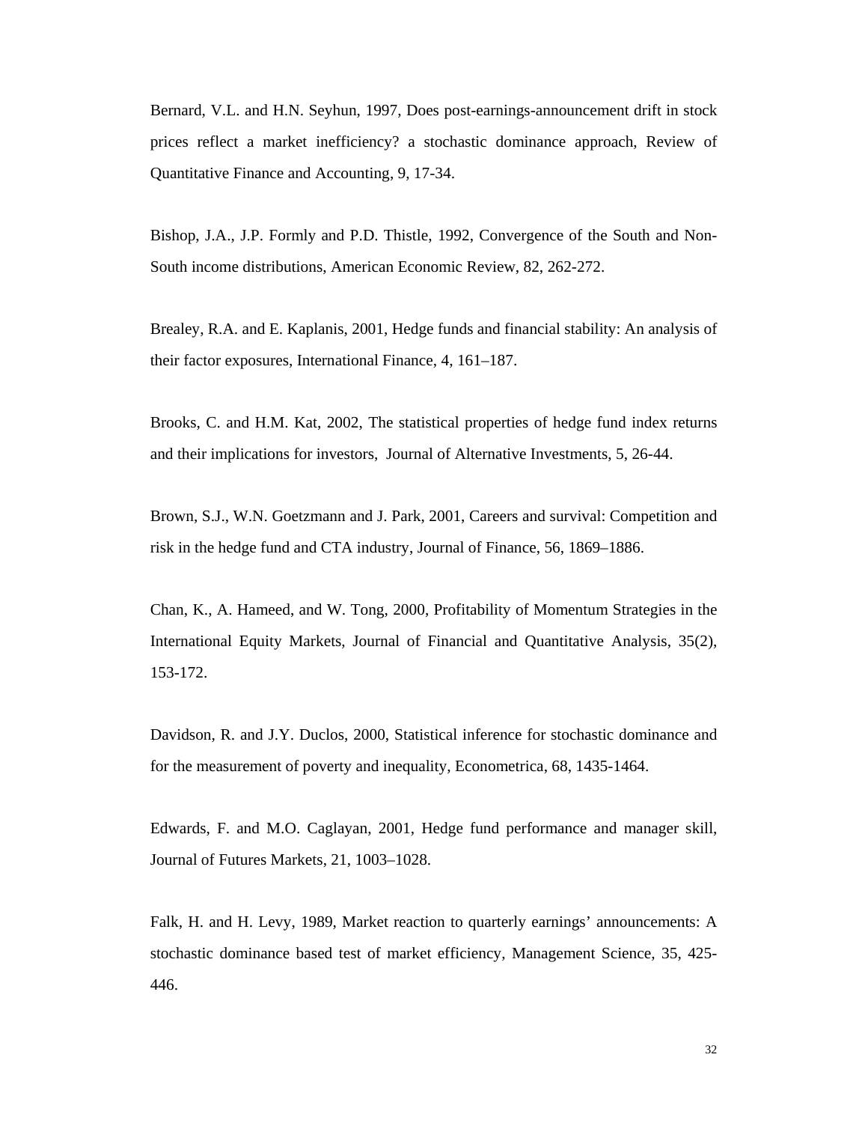Bernard, V.L. and H.N. Seyhun, 1997, Does post-earnings-announcement drift in stock prices reflect a market inefficiency? a stochastic dominance approach, Review of Quantitative Finance and Accounting, 9, 17-34.

Bishop, J.A., J.P. Formly and P.D. Thistle, 1992, Convergence of the South and Non-South income distributions, American Economic Review, 82, 262-272.

Brealey, R.A. and E. Kaplanis, 2001, Hedge funds and financial stability: An analysis of their factor exposures, International Finance, 4, 161–187.

Brooks, C. and H.M. Kat, 2002, The statistical properties of hedge fund index returns and their implications for investors, Journal of Alternative Investments, 5, 26-44.

Brown, S.J., W.N. Goetzmann and J. Park, 2001, Careers and survival: Competition and risk in the hedge fund and CTA industry, Journal of Finance, 56, 1869–1886.

Chan, K., A. Hameed, and W. Tong, 2000, Profitability of Momentum Strategies in the International Equity Markets, Journal of Financial and Quantitative Analysis, 35(2), 153-172.

Davidson, R. and J.Y. Duclos, 2000, Statistical inference for stochastic dominance and for the measurement of poverty and inequality, Econometrica, 68, 1435-1464.

Edwards, F. and M.O. Caglayan, 2001, Hedge fund performance and manager skill, Journal of Futures Markets, 21, 1003–1028.

Falk, H. and H. Levy, 1989, Market reaction to quarterly earnings' announcements: A stochastic dominance based test of market efficiency, Management Science, 35, 425- 446.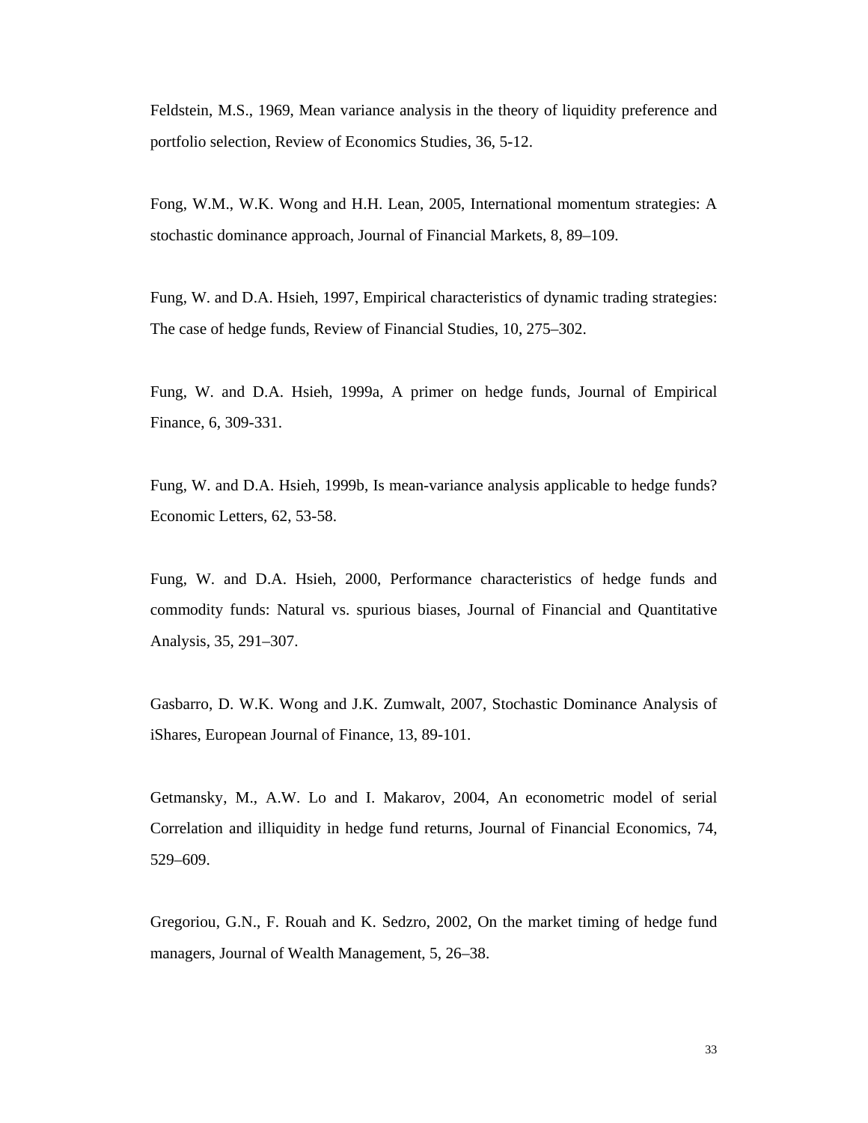Feldstein, M.S., 1969, Mean variance analysis in the theory of liquidity preference and portfolio selection, Review of Economics Studies, 36, 5-12.

Fong, W.M., W.K. Wong and H.H. Lean, 2005, International momentum strategies: A stochastic dominance approach, Journal of Financial Markets, 8, 89–109.

Fung, W. and D.A. Hsieh, 1997, Empirical characteristics of dynamic trading strategies: The case of hedge funds, Review of Financial Studies, 10, 275–302.

Fung, W. and D.A. Hsieh, 1999a, A primer on hedge funds, Journal of Empirical Finance, 6, 309-331.

Fung, W. and D.A. Hsieh, 1999b, Is mean-variance analysis applicable to hedge funds? Economic Letters, 62, 53-58.

Fung, W. and D.A. Hsieh, 2000, Performance characteristics of hedge funds and commodity funds: Natural vs. spurious biases, Journal of Financial and Quantitative Analysis, 35, 291–307.

Gasbarro, D. W.K. Wong and J.K. Zumwalt, 2007, Stochastic Dominance Analysis of iShares, European Journal of Finance, 13, 89-101.

Getmansky, M., A.W. Lo and I. Makarov, 2004, An econometric model of serial Correlation and illiquidity in hedge fund returns, Journal of Financial Economics, 74, 529–609.

Gregoriou, G.N., F. Rouah and K. Sedzro, 2002, On the market timing of hedge fund managers, Journal of Wealth Management, 5, 26–38.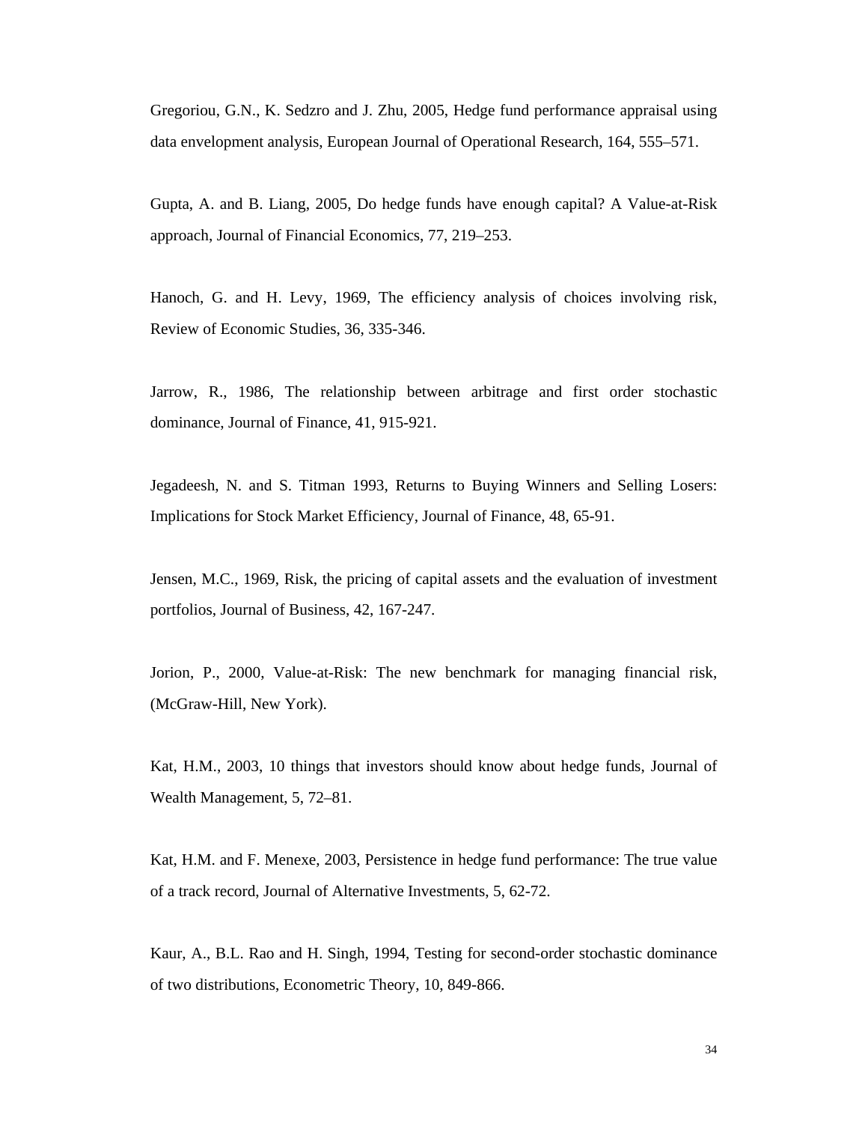Gregoriou, G.N., K. Sedzro and J. Zhu, 2005, Hedge fund performance appraisal using data envelopment analysis, European Journal of Operational Research, 164, 555–571.

Gupta, A. and B. Liang, 2005, Do hedge funds have enough capital? A Value-at-Risk approach, Journal of Financial Economics, 77, 219–253.

Hanoch, G. and H. Levy, 1969, The efficiency analysis of choices involving risk, Review of Economic Studies, 36, 335-346.

Jarrow, R., 1986, The relationship between arbitrage and first order stochastic dominance, Journal of Finance, 41, 915-921.

Jegadeesh, N. and S. Titman 1993, Returns to Buying Winners and Selling Losers: Implications for Stock Market Efficiency, Journal of Finance, 48, 65-91.

Jensen, M.C., 1969, Risk, the pricing of capital assets and the evaluation of investment portfolios, Journal of Business, 42, 167-247.

Jorion, P., 2000, Value-at-Risk: The new benchmark for managing financial risk, (McGraw-Hill, New York).

Kat, H.M., 2003, 10 things that investors should know about hedge funds, Journal of Wealth Management, 5, 72–81.

Kat, H.M. and F. Menexe, 2003, Persistence in hedge fund performance: The true value of a track record, Journal of Alternative Investments, 5, 62-72.

Kaur, A., B.L. Rao and H. Singh, 1994, Testing for second-order stochastic dominance of two distributions, Econometric Theory, 10, 849-866.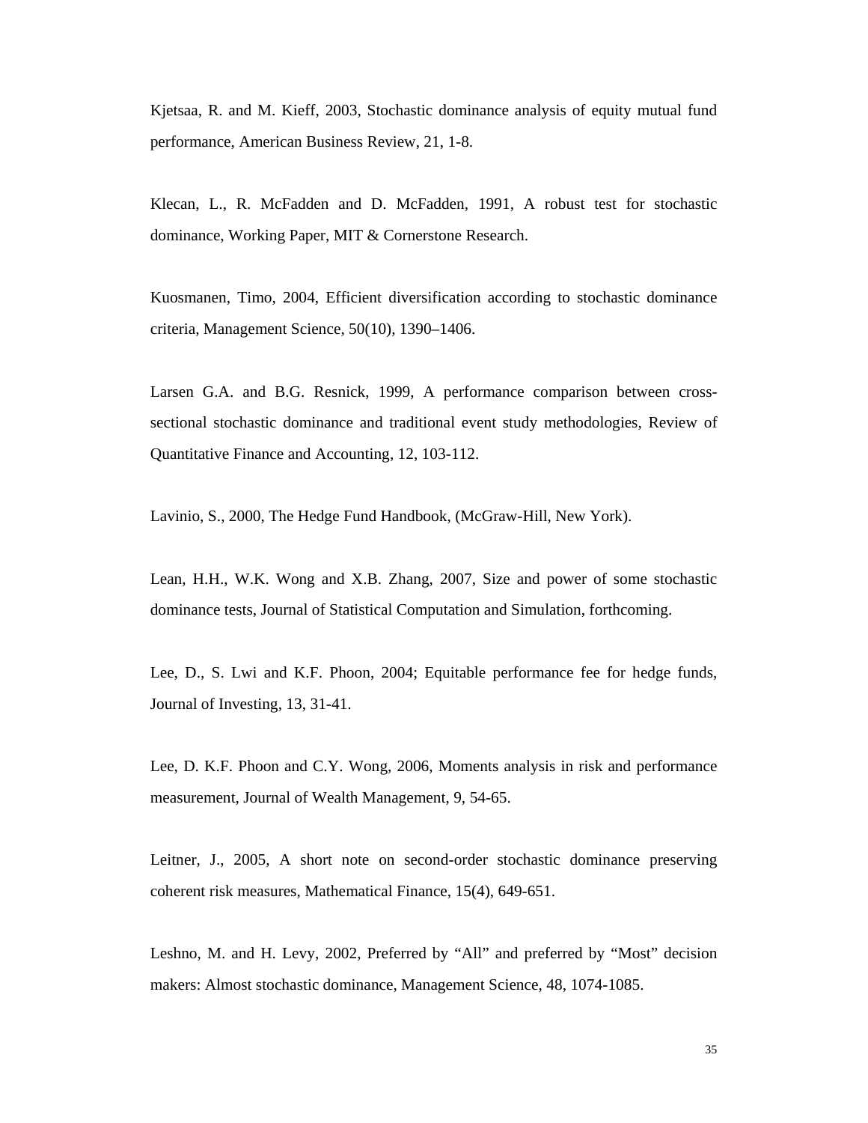Kjetsaa, R. and M. Kieff, 2003, Stochastic dominance analysis of equity mutual fund performance, American Business Review, 21, 1-8.

Klecan, L., R. McFadden and D. McFadden, 1991, A robust test for stochastic dominance, Working Paper, MIT & Cornerstone Research.

Kuosmanen, Timo, 2004, Efficient diversification according to stochastic dominance criteria, Management Science, 50(10), 1390–1406.

Larsen G.A. and B.G. Resnick, 1999, A performance comparison between crosssectional stochastic dominance and traditional event study methodologies, Review of Quantitative Finance and Accounting, 12, 103-112.

Lavinio, S., 2000, The Hedge Fund Handbook, (McGraw-Hill, New York).

Lean, H.H., W.K. Wong and X.B. Zhang, 2007, Size and power of some stochastic dominance tests, Journal of Statistical Computation and Simulation, forthcoming.

Lee, D., S. Lwi and K.F. Phoon, 2004; Equitable performance fee for hedge funds, Journal of Investing, 13, 31-41.

Lee, D. K.F. Phoon and C.Y. Wong, 2006, Moments analysis in risk and performance measurement, Journal of Wealth Management, 9, 54-65.

Leitner, J., 2005, A short note on second-order stochastic dominance preserving coherent risk measures, Mathematical Finance, 15(4), 649-651.

Leshno, M. and H. Levy, 2002, Preferred by "All" and preferred by "Most" decision makers: Almost stochastic dominance, Management Science, 48, 1074-1085.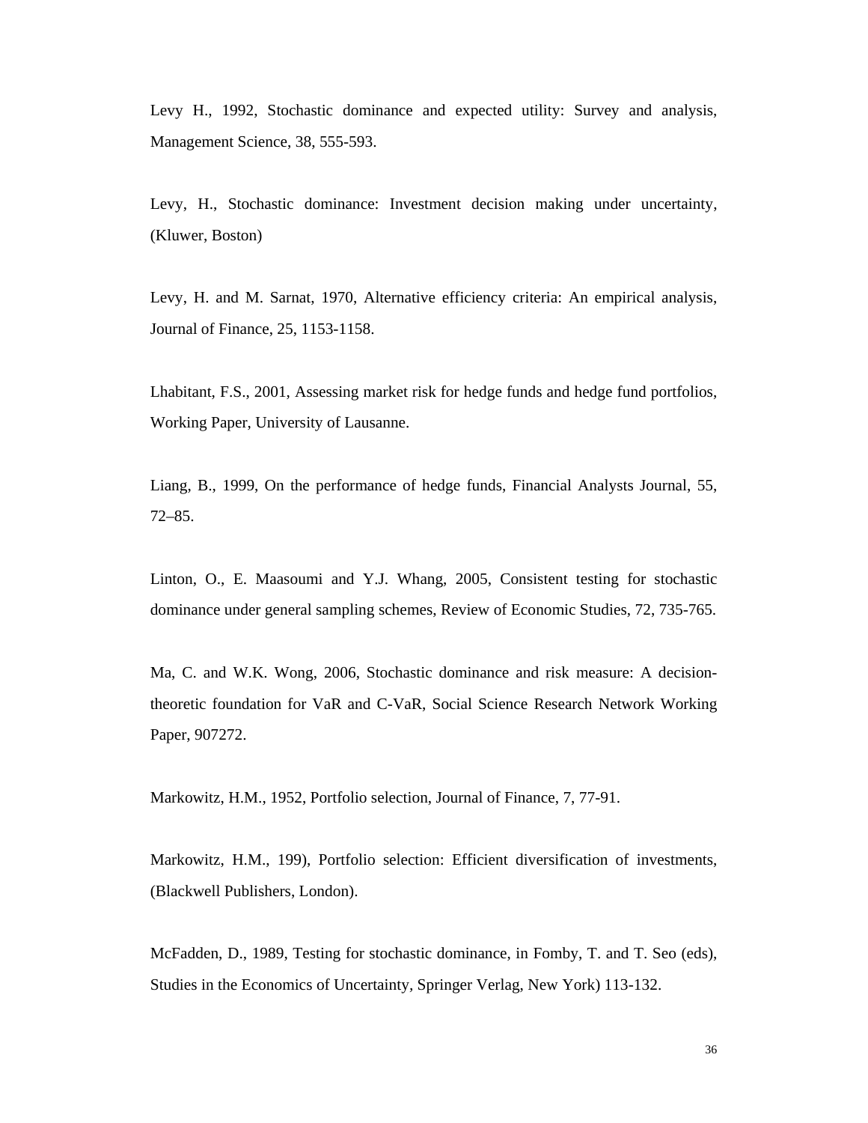Levy H., 1992, Stochastic dominance and expected utility: Survey and analysis, Management Science, 38, 555-593.

Levy, H., Stochastic dominance: Investment decision making under uncertainty, (Kluwer, Boston)

Levy, H. and M. Sarnat, 1970, Alternative efficiency criteria: An empirical analysis, Journal of Finance, 25, 1153-1158.

Lhabitant, F.S., 2001, Assessing market risk for hedge funds and hedge fund portfolios, Working Paper, University of Lausanne.

Liang, B., 1999, On the performance of hedge funds, Financial Analysts Journal, 55, 72–85.

Linton, O., E. Maasoumi and Y.J. Whang, 2005, Consistent testing for stochastic dominance under general sampling schemes, Review of Economic Studies, 72, 735-765.

Ma, C. and W.K. Wong, 2006, Stochastic dominance and risk measure: A decisiontheoretic foundation for VaR and C-VaR, Social Science Research Network Working Paper, 907272.

Markowitz, H.M., 1952, Portfolio selection, Journal of Finance, 7, 77-91.

Markowitz, H.M., 199), Portfolio selection: Efficient diversification of investments, (Blackwell Publishers, London).

McFadden, D., 1989, Testing for stochastic dominance, in Fomby, T. and T. Seo (eds), Studies in the Economics of Uncertainty*,* Springer Verlag, New York) 113-132.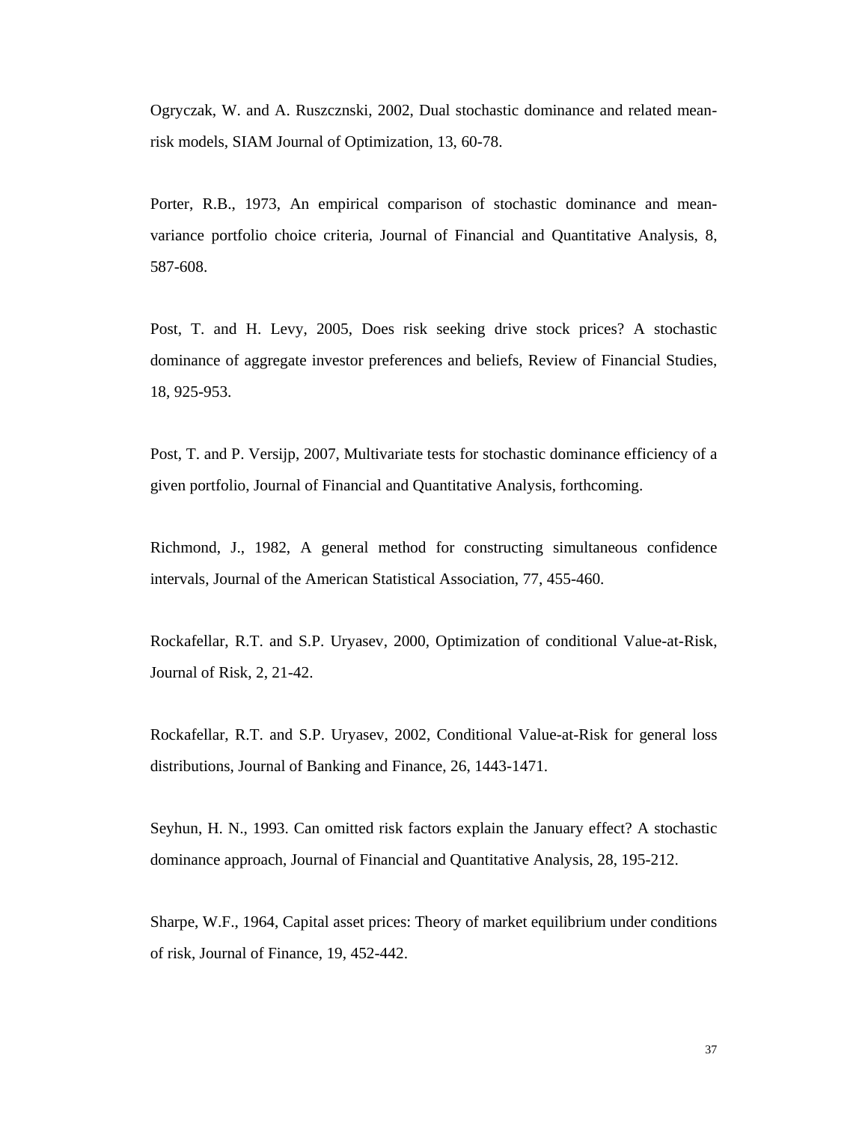Ogryczak, W. and A. Ruszcznski, 2002, Dual stochastic dominance and related meanrisk models, SIAM Journal of Optimization, 13, 60-78.

Porter, R.B., 1973, An empirical comparison of stochastic dominance and meanvariance portfolio choice criteria, Journal of Financial and Quantitative Analysis, 8, 587-608.

Post, T. and H. Levy, 2005, Does risk seeking drive stock prices? A stochastic dominance of aggregate investor preferences and beliefs, Review of Financial Studies, 18, 925-953.

Post, T. and P. Versijp, 2007, Multivariate tests for stochastic dominance efficiency of a given portfolio, Journal of Financial and Quantitative Analysis, forthcoming.

Richmond, J., 1982, A general method for constructing simultaneous confidence intervals, Journal of the American Statistical Association, 77, 455-460.

Rockafellar, R.T. and S.P. Uryasev, 2000, Optimization of conditional Value-at-Risk, Journal of Risk, 2, 21-42.

Rockafellar, R.T. and S.P. Uryasev, 2002, Conditional Value-at-Risk for general loss distributions, Journal of Banking and Finance, 26, 1443-1471.

Seyhun, H. N., 1993. Can omitted risk factors explain the January effect? A stochastic dominance approach, Journal of Financial and Quantitative Analysis, 28, 195-212.

Sharpe, W.F., 1964, Capital asset prices: Theory of market equilibrium under conditions of risk, Journal of Finance, 19, 452-442.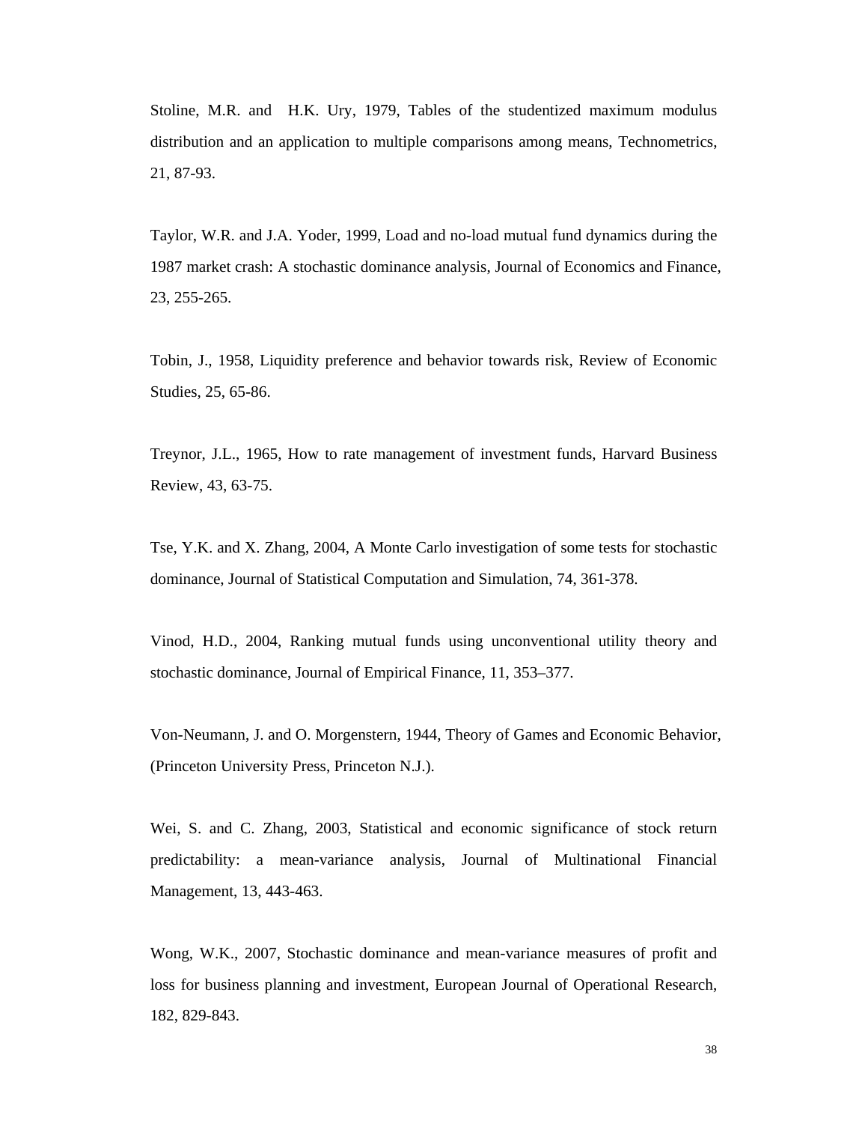Stoline, M.R. and H.K. Ury, 1979, Tables of the studentized maximum modulus distribution and an application to multiple comparisons among means, Technometrics, 21, 87-93.

Taylor, W.R. and J.A. Yoder, 1999, Load and no-load mutual fund dynamics during the 1987 market crash: A stochastic dominance analysis, Journal of Economics and Finance, 23, 255-265.

Tobin, J., 1958, Liquidity preference and behavior towards risk, Review of Economic Studies, 25, 65-86.

Treynor, J.L., 1965, How to rate management of investment funds, Harvard Business Review, 43, 63-75.

Tse, Y.K. and X. Zhang, 2004, A Monte Carlo investigation of some tests for stochastic dominance, Journal of Statistical Computation and Simulation, 74, 361-378.

Vinod, H.D., 2004, Ranking mutual funds using unconventional utility theory and stochastic dominance, Journal of Empirical Finance, 11, 353–377.

Von-Neumann, J. and O. Morgenstern, 1944, Theory of Games and Economic Behavior, (Princeton University Press, Princeton N.J.).

Wei, S. and C. Zhang, 2003, Statistical and economic significance of stock return predictability: a mean-variance analysis, Journal of Multinational Financial Management, 13, 443-463.

Wong, W.K., 2007, Stochastic dominance and mean-variance measures of profit and loss for business planning and investment, European Journal of Operational Research, 182, 829-843.